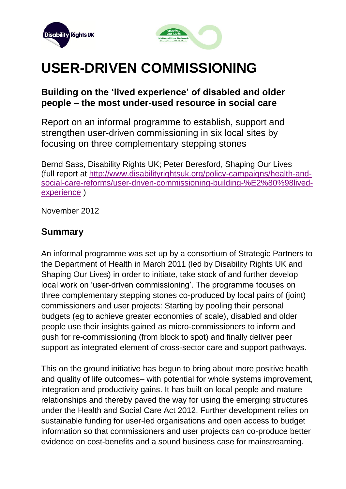



# **USER-DRIVEN COMMISSIONING**

## **Building on the 'lived experience' of disabled and older people – the most under-used resource in social care**

Report on an informal programme to establish, support and strengthen user-driven commissioning in six local sites by focusing on three complementary stepping stones

Bernd Sass, Disability Rights UK; Peter Beresford, Shaping Our Lives (full report at [http://www.disabilityrightsuk.org/policy-campaigns/health-and](http://www.disabilityrightsuk.org/policy-campaigns/health-and-social-care-reforms/user-driven-commissioning-building-%E2%80%98lived-experience)[social-care-reforms/user-driven-commissioning-building-%E2%80%98lived](http://www.disabilityrightsuk.org/policy-campaigns/health-and-social-care-reforms/user-driven-commissioning-building-%E2%80%98lived-experience)[experience](http://www.disabilityrightsuk.org/policy-campaigns/health-and-social-care-reforms/user-driven-commissioning-building-%E2%80%98lived-experience) )

November 2012

## **Summary**

An informal programme was set up by a consortium of Strategic Partners to the Department of Health in March 2011 (led by Disability Rights UK and Shaping Our Lives) in order to initiate, take stock of and further develop local work on 'user-driven commissioning'. The programme focuses on three complementary stepping stones co-produced by local pairs of (joint) commissioners and user projects: Starting by pooling their personal budgets (eg to achieve greater economies of scale), disabled and older people use their insights gained as micro-commissioners to inform and push for re-commissioning (from block to spot) and finally deliver peer support as integrated element of cross-sector care and support pathways.

This on the ground initiative has begun to bring about more positive health and quality of life outcomes– with potential for whole systems improvement, integration and productivity gains. It has built on local people and mature relationships and thereby paved the way for using the emerging structures under the Health and Social Care Act 2012. Further development relies on sustainable funding for user-led organisations and open access to budget information so that commissioners and user projects can co-produce better evidence on cost-benefits and a sound business case for mainstreaming.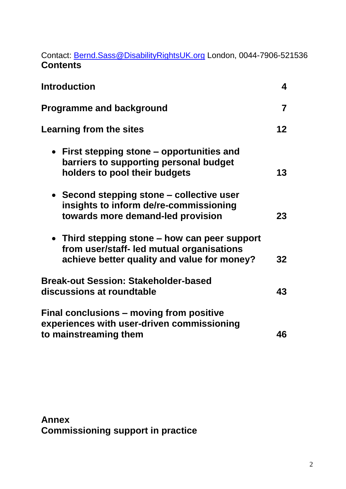Contact: [Bernd.Sass@DisabilityRightsUK.org](mailto:Bernd.Sass@DisabilityRightsUK.org) London, 0044-7906-521536 **Contents**

| <b>Introduction</b>                                                                                                                       | $\overline{\mathbf{4}}$ |
|-------------------------------------------------------------------------------------------------------------------------------------------|-------------------------|
| <b>Programme and background</b>                                                                                                           | $\overline{7}$          |
| <b>Learning from the sites</b>                                                                                                            | 12 <sub>2</sub>         |
| • First stepping stone – opportunities and<br>barriers to supporting personal budget<br>holders to pool their budgets                     | 13                      |
| • Second stepping stone – collective user<br>insights to inform de/re-commissioning<br>towards more demand-led provision                  | 23                      |
| • Third stepping stone – how can peer support<br>from user/staff- led mutual organisations<br>achieve better quality and value for money? | 32                      |
| <b>Break-out Session: Stakeholder-based</b><br>discussions at roundtable                                                                  | 43                      |
| Final conclusions – moving from positive<br>experiences with user-driven commissioning<br>to mainstreaming them                           | 46                      |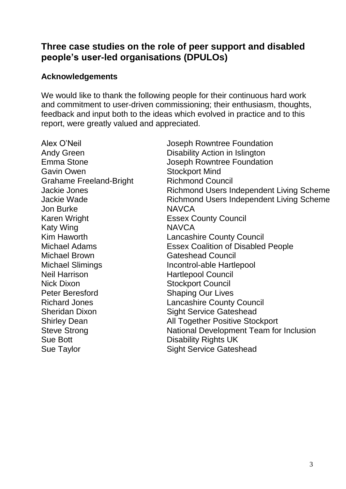## **Three case studies on the role of peer support and disabled people's user-led organisations (DPULOs)**

#### **Acknowledgements**

We would like to thank the following people for their continuous hard work and commitment to user-driven commissioning; their enthusiasm, thoughts, feedback and input both to the ideas which evolved in practice and to this report, were greatly valued and appreciated.

Gavin Owen Stockport Mind Grahame Freeland-Bright Richmond Council Jon Burke NAVCA Karen Wright **Essex County Council** Katy Wing NAVCA Michael Brown Gateshead Council Michael Slimings **Incontrol-able Hartlepool** Neil Harrison **Hartlepool Council** Nick Dixon Stockport Council Peter Beresford Shaping Our Lives Sue Bott **Disability Rights** UK

Alex O'Neil **Alex O'Neil Alex O'Neil Alex** O'Neil Andy Green **Disability Action in Islington** Emma Stone Joseph Rowntree Foundation Jackie Jones **Richmond Users Independent Living Scheme** Jackie Wade Richmond Users Independent Living Scheme Kim Haworth **Lancashire County Council** Michael Adams Essex Coalition of Disabled People Richard Jones Lancashire County Council Sheridan Dixon Sight Service Gateshead Shirley Dean **All Together Positive Stockport** Steve Strong **National Development Team for Inclusion** Sue Taylor Sue Taylor Sight Service Gateshead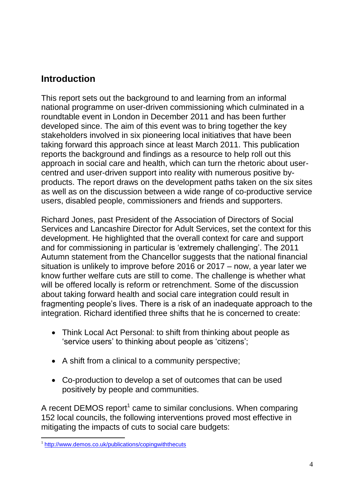## **Introduction**

This report sets out the background to and learning from an informal national programme on user-driven commissioning which culminated in a roundtable event in London in December 2011 and has been further developed since. The aim of this event was to bring together the key stakeholders involved in six pioneering local initiatives that have been taking forward this approach since at least March 2011. This publication reports the background and findings as a resource to help roll out this approach in social care and health, which can turn the rhetoric about usercentred and user-driven support into reality with numerous positive byproducts. The report draws on the development paths taken on the six sites as well as on the discussion between a wide range of co-productive service users, disabled people, commissioners and friends and supporters.

Richard Jones, past President of the Association of Directors of Social Services and Lancashire Director for Adult Services, set the context for this development. He highlighted that the overall context for care and support and for commissioning in particular is 'extremely challenging'. The 2011 Autumn statement from the Chancellor suggests that the national financial situation is unlikely to improve before 2016 or 2017 – now, a year later we know further welfare cuts are still to come. The challenge is whether what will be offered locally is reform or retrenchment. Some of the discussion about taking forward health and social care integration could result in fragmenting people's lives. There is a risk of an inadequate approach to the integration. Richard identified three shifts that he is concerned to create:

- Think Local Act Personal: to shift from thinking about people as 'service users' to thinking about people as 'citizens';
- A shift from a clinical to a community perspective;
- Co-production to develop a set of outcomes that can be used positively by people and communities.

A recent DEMOS report<sup>1</sup> came to similar conclusions. When comparing 152 local councils, the following interventions proved most effective in mitigating the impacts of cuts to social care budgets:

 1 <http://www.demos.co.uk/publications/copingwiththecuts>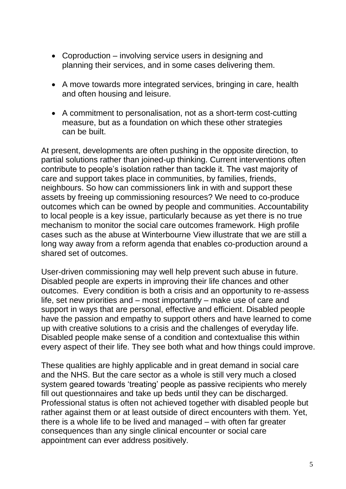- Coproduction involving service users in designing and planning their services, and in some cases delivering them.
- A move towards more integrated services, bringing in care, health and often housing and leisure.
- A commitment to personalisation, not as a short-term cost-cutting measure, but as a foundation on which these other strategies can be built.

At present, developments are often pushing in the opposite direction, to partial solutions rather than joined-up thinking. Current interventions often contribute to people's isolation rather than tackle it. The vast majority of care and support takes place in communities, by families, friends, neighbours. So how can commissioners link in with and support these assets by freeing up commissioning resources? We need to co-produce outcomes which can be owned by people and communities. Accountability to local people is a key issue, particularly because as yet there is no true mechanism to monitor the social care outcomes framework. High profile cases such as the abuse at Winterbourne View illustrate that we are still a long way away from a reform agenda that enables co-production around a shared set of outcomes.

User-driven commissioning may well help prevent such abuse in future. Disabled people are experts in improving their life chances and other outcomes. Every condition is both a crisis and an opportunity to re-assess life, set new priorities and – most importantly – make use of care and support in ways that are personal, effective and efficient. Disabled people have the passion and empathy to support others and have learned to come up with creative solutions to a crisis and the challenges of everyday life. Disabled people make sense of a condition and contextualise this within every aspect of their life. They see both what and how things could improve.

These qualities are highly applicable and in great demand in social care and the NHS. But the care sector as a whole is still very much a closed system geared towards 'treating' people as passive recipients who merely fill out questionnaires and take up beds until they can be discharged. Professional status is often not achieved together with disabled people but rather against them or at least outside of direct encounters with them. Yet, there is a whole life to be lived and managed – with often far greater consequences than any single clinical encounter or social care appointment can ever address positively.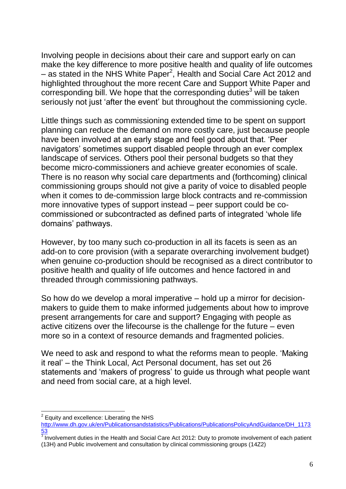Involving people in decisions about their care and support early on can make the key difference to more positive health and quality of life outcomes  $-$  as stated in the NHS White Paper<sup>2</sup>, Health and Social Care Act 2012 and highlighted throughout the more recent Care and Support White Paper and corresponding bill. We hope that the corresponding duties<sup>3</sup> will be taken seriously not just 'after the event' but throughout the commissioning cycle.

Little things such as commissioning extended time to be spent on support planning can reduce the demand on more costly care, just because people have been involved at an early stage and feel good about that. 'Peer navigators' sometimes support disabled people through an ever complex landscape of services. Others pool their personal budgets so that they become micro-commissioners and achieve greater economies of scale. There is no reason why social care departments and (forthcoming) clinical commissioning groups should not give a parity of voice to disabled people when it comes to de-commission large block contracts and re-commission more innovative types of support instead – peer support could be cocommissioned or subcontracted as defined parts of integrated 'whole life domains' pathways.

However, by too many such co-production in all its facets is seen as an add-on to core provision (with a separate overarching involvement budget) when genuine co-production should be recognised as a direct contributor to positive health and quality of life outcomes and hence factored in and threaded through commissioning pathways.

So how do we develop a moral imperative – hold up a mirror for decisionmakers to guide them to make informed judgements about how to improve present arrangements for care and support? Engaging with people as active citizens over the lifecourse is the challenge for the future – even more so in a context of resource demands and fragmented policies.

We need to ask and respond to what the reforms mean to people. 'Making it real' – the Think Local, Act Personal document, has set out 26 statements and 'makers of progress' to guide us through what people want and need from social care, at a high level.

  $^{2}$  Equity and excellence: Liberating the NHS

[http://www.dh.gov.uk/en/Publicationsandstatistics/Publications/PublicationsPolicyAndGuidance/DH\\_1173](http://www.dh.gov.uk/en/Publicationsandstatistics/Publications/PublicationsPolicyAndGuidance/DH_117353) [53](http://www.dh.gov.uk/en/Publicationsandstatistics/Publications/PublicationsPolicyAndGuidance/DH_117353)<br><sup>3</sup> Involvement duties in the Health and Social Care Act 2012: Duty to promote involvement of each patient

<sup>(13</sup>H) and Public involvement and consultation by clinical commissioning groups (14Z2)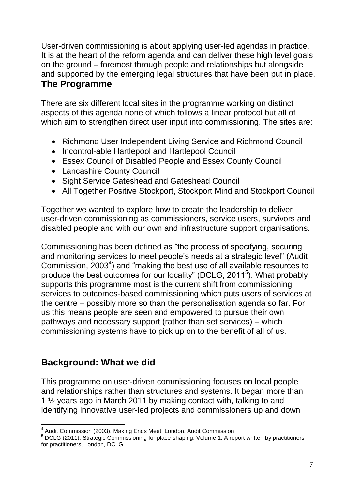User-driven commissioning is about applying user-led agendas in practice. It is at the heart of the reform agenda and can deliver these high level goals on the ground – foremost through people and relationships but alongside and supported by the emerging legal structures that have been put in place. **The Programme**

There are six different local sites in the programme working on distinct aspects of this agenda none of which follows a linear protocol but all of which aim to strengthen direct user input into commissioning. The sites are:

- Richmond User Independent Living Service and Richmond Council
- Incontrol-able Hartlepool and Hartlepool Council
- Essex Council of Disabled People and Essex County Council
- Lancashire County Council
- Sight Service Gateshead and Gateshead Council
- All Together Positive Stockport, Stockport Mind and Stockport Council

Together we wanted to explore how to create the leadership to deliver user-driven commissioning as commissioners, service users, survivors and disabled people and with our own and infrastructure support organisations.

Commissioning has been defined as "the process of specifying, securing and monitoring services to meet people's needs at a strategic level" (Audit Commission,  $2003<sup>4</sup>$ ) and "making the best use of all available resources to produce the best outcomes for our locality" (DCLG, 2011<sup>5</sup>). What probably supports this programme most is the current shift from commissioning services to outcomes-based commissioning which puts users of services at the centre – possibly more so than the personalisation agenda so far. For us this means people are seen and empowered to pursue their own pathways and necessary support (rather than set services) – which commissioning systems have to pick up on to the benefit of all of us.

# **Background: What we did**

This programme on user-driven commissioning focuses on local people and relationships rather than structures and systems. It began more than 1 ½ years ago in March 2011 by making contact with, talking to and identifying innovative user-led projects and commissioners up and down

 $\overline{a}$ <sup>4</sup> Audit Commission (2003). Making Ends Meet, London, Audit Commission

<sup>&</sup>lt;sup>5</sup> DCLG (2011). Strategic Commissioning for place-shaping. Volume 1: A report written by practitioners for practitioners, London, DCLG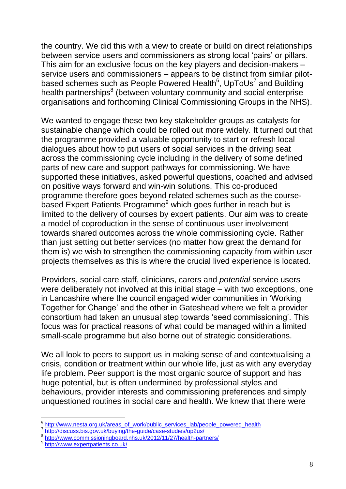the country. We did this with a view to create or build on direct relationships between service users and commissioners as strong local 'pairs' or pillars. This aim for an exclusive focus on the key players and decision-makers – service users and commissioners – appears to be distinct from similar pilotbased schemes such as People Powered Health<sup>6</sup>, UpToUs<sup>7</sup> and Building health partnerships<sup>8</sup> (between voluntary community and social enterprise organisations and forthcoming Clinical Commissioning Groups in the NHS).

We wanted to engage these two key stakeholder groups as catalysts for sustainable change which could be rolled out more widely. It turned out that the programme provided a valuable opportunity to start or refresh local dialogues about how to put users of social services in the driving seat across the commissioning cycle including in the delivery of some defined parts of new care and support pathways for commissioning. We have supported these initiatives, asked powerful questions, coached and advised on positive ways forward and win-win solutions. This co-produced programme therefore goes beyond related schemes such as the coursebased Expert Patients Programme<sup>9</sup> which goes further in reach but is limited to the delivery of courses by expert patients. Our aim was to create a model of coproduction in the sense of continuous user involvement towards shared outcomes across the whole commissioning cycle. Rather than just setting out better services (no matter how great the demand for them is) we wish to strengthen the commissioning capacity from within user projects themselves as this is where the crucial lived experience is located.

Providers, social care staff, clinicians, carers and *potential* service users were deliberately not involved at this initial stage – with two exceptions, one in Lancashire where the council engaged wider communities in 'Working Together for Change' and the other in Gateshead where we felt a provider consortium had taken an unusual step towards 'seed commissioning'. This focus was for practical reasons of what could be managed within a limited small-scale programme but also borne out of strategic considerations.

We all look to peers to support us in making sense of and contextualising a crisis, condition or treatment within our whole life, just as with any everyday life problem. Peer support is the most organic source of support and has huge potential, but is often undermined by professional styles and behaviours, provider interests and commissioning preferences and simply unquestioned routines in social care and health. We knew that there were

7 http://discuss.bis.gov.uk/buying/the-guide/case-studies/up2us/

 $\overline{a}$ 

<sup>&</sup>lt;sup>6</sup>[http://www.nesta.org.uk/areas\\_of\\_work/public\\_services\\_lab/people\\_powered\\_health](http://www.nesta.org.uk/areas_of_work/public_services_lab/people_powered_health)

<sup>8</sup> <http://www.commissioningboard.nhs.uk/2012/11/27/health-partners/>

<sup>9</sup> <http://www.expertpatients.co.uk/>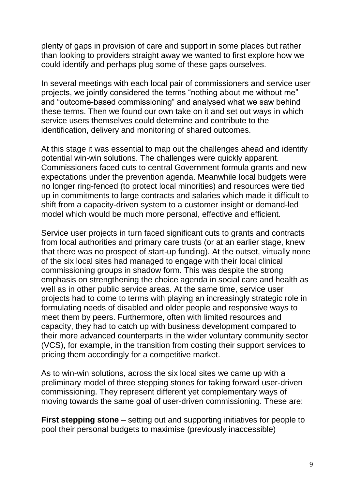plenty of gaps in provision of care and support in some places but rather than looking to providers straight away we wanted to first explore how we could identify and perhaps plug some of these gaps ourselves.

In several meetings with each local pair of commissioners and service user projects, we jointly considered the terms "nothing about me without me" and "outcome-based commissioning" and analysed what we saw behind these terms. Then we found our own take on it and set out ways in which service users themselves could determine and contribute to the identification, delivery and monitoring of shared outcomes.

At this stage it was essential to map out the challenges ahead and identify potential win-win solutions. The challenges were quickly apparent. Commissioners faced cuts to central Government formula grants and new expectations under the prevention agenda. Meanwhile local budgets were no longer ring-fenced (to protect local minorities) and resources were tied up in commitments to large contracts and salaries which made it difficult to shift from a capacity-driven system to a customer insight or demand-led model which would be much more personal, effective and efficient.

Service user projects in turn faced significant cuts to grants and contracts from local authorities and primary care trusts (or at an earlier stage, knew that there was no prospect of start-up funding). At the outset, virtually none of the six local sites had managed to engage with their local clinical commissioning groups in shadow form. This was despite the strong emphasis on strengthening the choice agenda in social care and health as well as in other public service areas. At the same time, service user projects had to come to terms with playing an increasingly strategic role in formulating needs of disabled and older people and responsive ways to meet them by peers. Furthermore, often with limited resources and capacity, they had to catch up with business development compared to their more advanced counterparts in the wider voluntary community sector (VCS), for example, in the transition from costing their support services to pricing them accordingly for a competitive market.

As to win-win solutions, across the six local sites we came up with a preliminary model of three stepping stones for taking forward user-driven commissioning. They represent different yet complementary ways of moving towards the same goal of user-driven commissioning. These are:

**First stepping stone** – setting out and supporting initiatives for people to pool their personal budgets to maximise (previously inaccessible)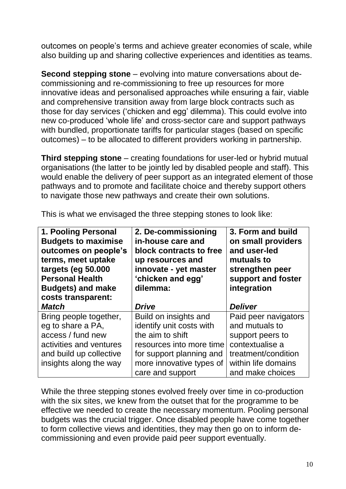outcomes on people's terms and achieve greater economies of scale, while also building up and sharing collective experiences and identities as teams.

**Second stepping stone** – evolving into mature conversations about decommissioning and re-commissioning to free up resources for more innovative ideas and personalised approaches while ensuring a fair, viable and comprehensive transition away from large block contracts such as those for day services ('chicken and egg' dilemma). This could evolve into new co-produced 'whole life' and cross-sector care and support pathways with bundled, proportionate tariffs for particular stages (based on specific outcomes) – to be allocated to different providers working in partnership.

**Third stepping stone** – creating foundations for user-led or hybrid mutual organisations (the latter to be jointly led by disabled people and staff). This would enable the delivery of peer support as an integrated element of those pathways and to promote and facilitate choice and thereby support others to navigate those new pathways and create their own solutions.

| 1. Pooling Personal<br><b>Budgets to maximise</b><br>outcomes on people's<br>terms, meet uptake<br>targets (eg 50.000<br><b>Personal Health</b><br><b>Budgets) and make</b><br>costs transparent: | 2. De-commissioning<br>in-house care and<br>block contracts to free<br>up resources and<br>innovate - yet master<br>'chicken and egg'<br>dilemma:                             | 3. Form and build<br>on small providers<br>and user-led<br>mutuals to<br>strengthen peer<br>support and foster<br>integration                   |
|---------------------------------------------------------------------------------------------------------------------------------------------------------------------------------------------------|-------------------------------------------------------------------------------------------------------------------------------------------------------------------------------|-------------------------------------------------------------------------------------------------------------------------------------------------|
| <b>Match</b>                                                                                                                                                                                      | <b>Drive</b>                                                                                                                                                                  | <b>Deliver</b>                                                                                                                                  |
| Bring people together,<br>eg to share a PA,<br>access / fund new<br>activities and ventures<br>and build up collective<br>insights along the way                                                  | Build on insights and<br>identify unit costs with<br>the aim to shift<br>resources into more time<br>for support planning and<br>more innovative types of<br>care and support | Paid peer navigators<br>and mutuals to<br>support peers to<br>contextualise a<br>treatment/condition<br>within life domains<br>and make choices |

This is what we envisaged the three stepping stones to look like:

While the three stepping stones evolved freely over time in co-production with the six sites, we knew from the outset that for the programme to be effective we needed to create the necessary momentum. Pooling personal budgets was the crucial trigger. Once disabled people have come together to form collective views and identities, they may then go on to inform decommissioning and even provide paid peer support eventually.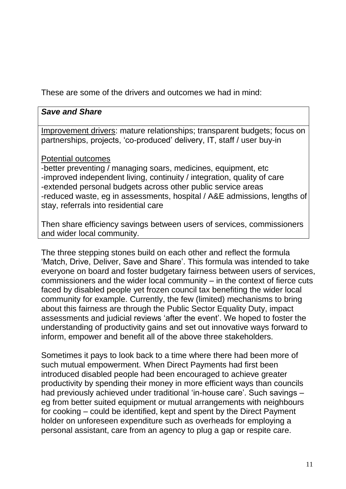These are some of the drivers and outcomes we had in mind:

#### *Save and Share*

Improvement drivers: mature relationships; transparent budgets; focus on partnerships, projects, 'co-produced' delivery, IT, staff / user buy-in

#### Potential outcomes

-better preventing / managing soars, medicines, equipment, etc -improved independent living, continuity / integration, quality of care -extended personal budgets across other public service areas -reduced waste, eg in assessments, hospital / A&E admissions, lengths of stay, referrals into residential care

Then share efficiency savings between users of services, commissioners and wider local community.

The three stepping stones build on each other and reflect the formula 'Match, Drive, Deliver, Save and Share'. This formula was intended to take everyone on board and foster budgetary fairness between users of services, commissioners and the wider local community – in the context of fierce cuts faced by disabled people yet frozen council tax benefiting the wider local community for example. Currently, the few (limited) mechanisms to bring about this fairness are through the Public Sector Equality Duty, impact assessments and judicial reviews 'after the event'. We hoped to foster the understanding of productivity gains and set out innovative ways forward to inform, empower and benefit all of the above three stakeholders.

Sometimes it pays to look back to a time where there had been more of such mutual empowerment. When Direct Payments had first been introduced disabled people had been encouraged to achieve greater productivity by spending their money in more efficient ways than councils had previously achieved under traditional 'in-house care'. Such savings – eg from better suited equipment or mutual arrangements with neighbours for cooking – could be identified, kept and spent by the Direct Payment holder on unforeseen expenditure such as overheads for employing a personal assistant, care from an agency to plug a gap or respite care.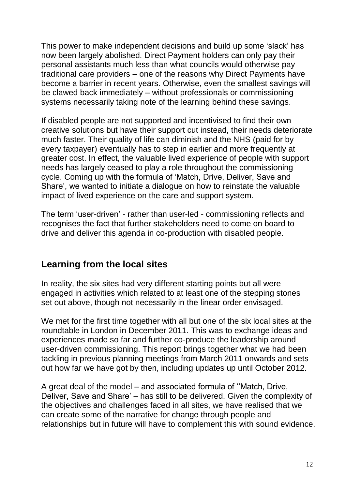This power to make independent decisions and build up some 'slack' has now been largely abolished. Direct Payment holders can only pay their personal assistants much less than what councils would otherwise pay traditional care providers – one of the reasons why Direct Payments have become a barrier in recent years. Otherwise, even the smallest savings will be clawed back immediately – without professionals or commissioning systems necessarily taking note of the learning behind these savings.

If disabled people are not supported and incentivised to find their own creative solutions but have their support cut instead, their needs deteriorate much faster. Their quality of life can diminish and the NHS (paid for by every taxpayer) eventually has to step in earlier and more frequently at greater cost. In effect, the valuable lived experience of people with support needs has largely ceased to play a role throughout the commissioning cycle. Coming up with the formula of 'Match, Drive, Deliver, Save and Share', we wanted to initiate a dialogue on how to reinstate the valuable impact of lived experience on the care and support system.

The term 'user-driven' - rather than user-led - commissioning reflects and recognises the fact that further stakeholders need to come on board to drive and deliver this agenda in co-production with disabled people.

# **Learning from the local sites**

In reality, the six sites had very different starting points but all were engaged in activities which related to at least one of the stepping stones set out above, though not necessarily in the linear order envisaged.

We met for the first time together with all but one of the six local sites at the roundtable in London in December 2011. This was to exchange ideas and experiences made so far and further co-produce the leadership around user-driven commissioning. This report brings together what we had been tackling in previous planning meetings from March 2011 onwards and sets out how far we have got by then, including updates up until October 2012.

A great deal of the model – and associated formula of ''Match, Drive, Deliver, Save and Share' – has still to be delivered. Given the complexity of the objectives and challenges faced in all sites, we have realised that we can create some of the narrative for change through people and relationships but in future will have to complement this with sound evidence.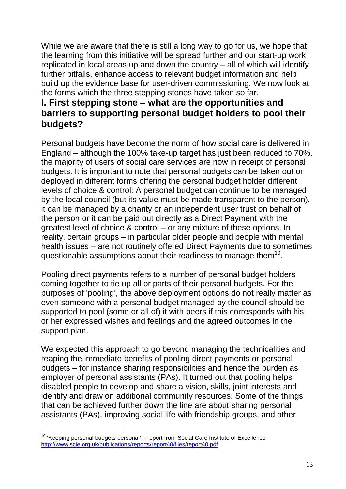While we are aware that there is still a long way to go for us, we hope that the learning from this initiative will be spread further and our start-up work replicated in local areas up and down the country – all of which will identify further pitfalls, enhance access to relevant budget information and help build up the evidence base for user-driven commissioning. We now look at the forms which the three stepping stones have taken so far.

## **I. First stepping stone – what are the opportunities and barriers to supporting personal budget holders to pool their budgets?**

Personal budgets have become the norm of how social care is delivered in England – although the 100% take-up target has just been reduced to 70%, the majority of users of social care services are now in receipt of personal budgets. It is important to note that personal budgets can be taken out or deployed in different forms offering the personal budget holder different levels of choice & control: A personal budget can continue to be managed by the local council (but its value must be made transparent to the person), it can be managed by a charity or an independent user trust on behalf of the person or it can be paid out directly as a Direct Payment with the greatest level of choice & control – or any mixture of these options. In reality, certain groups – in particular older people and people with mental health issues – are not routinely offered Direct Payments due to sometimes questionable assumptions about their readiness to manage them $^{10}$ .

Pooling direct payments refers to a number of personal budget holders coming together to tie up all or parts of their personal budgets. For the purposes of 'pooling', the above deployment options do not really matter as even someone with a personal budget managed by the council should be supported to pool (some or all of) it with peers if this corresponds with his or her expressed wishes and feelings and the agreed outcomes in the support plan.

We expected this approach to go beyond managing the technicalities and reaping the immediate benefits of pooling direct payments or personal budgets – for instance sharing responsibilities and hence the burden as employer of personal assistants (PAs). It turned out that pooling helps disabled people to develop and share a vision, skills, joint interests and identify and draw on additional community resources. Some of the things that can be achieved further down the line are about sharing personal assistants (PAs), improving social life with friendship groups, and other

 $\overline{a}$ <sup>10</sup> 'Keeping personal budgets personal' – report from Social Care Institute of Excellence <http://www.scie.org.uk/publications/reports/report40/files/report40.pdf>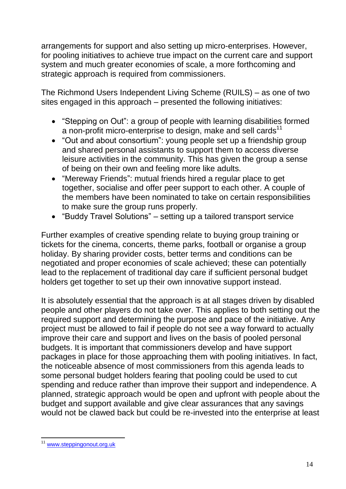arrangements for support and also setting up micro-enterprises. However, for pooling initiatives to achieve true impact on the current care and support system and much greater economies of scale, a more forthcoming and strategic approach is required from commissioners.

The Richmond Users Independent Living Scheme (RUILS) – as one of two sites engaged in this approach – presented the following initiatives:

- "Stepping on Out": a group of people with learning disabilities formed a non-profit micro-enterprise to design, make and sell cards<sup>11</sup>
- "Out and about consortium": young people set up a friendship group and shared personal assistants to support them to access diverse leisure activities in the community. This has given the group a sense of being on their own and feeling more like adults.
- "Mereway Friends": mutual friends hired a regular place to get together, socialise and offer peer support to each other. A couple of the members have been nominated to take on certain responsibilities to make sure the group runs properly.
- "Buddy Travel Solutions" setting up a tailored transport service

Further examples of creative spending relate to buying group training or tickets for the cinema, concerts, theme parks, football or organise a group holiday. By sharing provider costs, better terms and conditions can be negotiated and proper economies of scale achieved; these can potentially lead to the replacement of traditional day care if sufficient personal budget holders get together to set up their own innovative support instead.

It is absolutely essential that the approach is at all stages driven by disabled people and other players do not take over. This applies to both setting out the required support and determining the purpose and pace of the initiative. Any project must be allowed to fail if people do not see a way forward to actually improve their care and support and lives on the basis of pooled personal budgets. It is important that commissioners develop and have support packages in place for those approaching them with pooling initiatives. In fact, the noticeable absence of most commissioners from this agenda leads to some personal budget holders fearing that pooling could be used to cut spending and reduce rather than improve their support and independence. A planned, strategic approach would be open and upfront with people about the budget and support available and give clear assurances that any savings would not be clawed back but could be re-invested into the enterprise at least

 $\overline{a}$ [www.steppingonout.org.uk](http://www.steppingonout.org.uk/)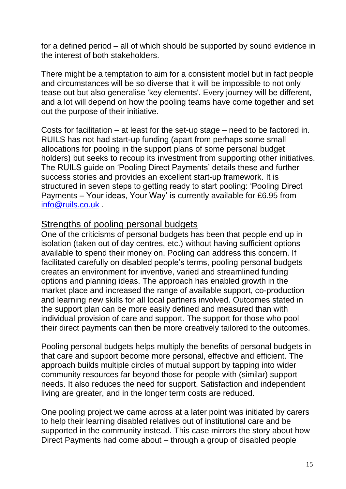for a defined period – all of which should be supported by sound evidence in the interest of both stakeholders.

There might be a temptation to aim for a consistent model but in fact people and circumstances will be so diverse that it will be impossible to not only tease out but also generalise 'key elements'. Every journey will be different, and a lot will depend on how the pooling teams have come together and set out the purpose of their initiative.

Costs for facilitation – at least for the set-up stage – need to be factored in. RUILS has not had start-up funding (apart from perhaps some small allocations for pooling in the support plans of some personal budget holders) but seeks to recoup its investment from supporting other initiatives. The RUILS guide on 'Pooling Direct Payments' details these and further success stories and provides an excellent start-up framework. It is structured in seven steps to getting ready to start pooling: 'Pooling Direct Payments – Your ideas, Your Way' is currently available for £6.95 from [info@ruils.co.uk](mailto:info@ruils.co.uk) .

#### Strengths of pooling personal budgets

One of the criticisms of personal budgets has been that people end up in isolation (taken out of day centres, etc.) without having sufficient options available to spend their money on. Pooling can address this concern. If facilitated carefully on disabled people's terms, pooling personal budgets creates an environment for inventive, varied and streamlined funding options and planning ideas. The approach has enabled growth in the market place and increased the range of available support, co-production and learning new skills for all local partners involved. Outcomes stated in the support plan can be more easily defined and measured than with individual provision of care and support. The support for those who pool their direct payments can then be more creatively tailored to the outcomes.

Pooling personal budgets helps multiply the benefits of personal budgets in that care and support become more personal, effective and efficient. The approach builds multiple circles of mutual support by tapping into wider community resources far beyond those for people with (similar) support needs. It also reduces the need for support. Satisfaction and independent living are greater, and in the longer term costs are reduced.

One pooling project we came across at a later point was initiated by carers to help their learning disabled relatives out of institutional care and be supported in the community instead. This case mirrors the story about how Direct Payments had come about – through a group of disabled people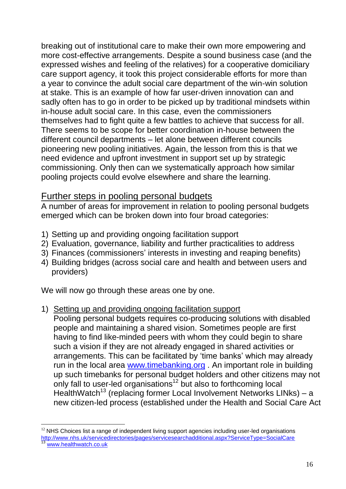breaking out of institutional care to make their own more empowering and more cost-effective arrangements. Despite a sound business case (and the expressed wishes and feeling of the relatives) for a cooperative domiciliary care support agency, it took this project considerable efforts for more than a year to convince the adult social care department of the win-win solution at stake. This is an example of how far user-driven innovation can and sadly often has to go in order to be picked up by traditional mindsets within in-house adult social care. In this case, even the commissioners themselves had to fight quite a few battles to achieve that success for all. There seems to be scope for better coordination in-house between the different council departments – let alone between different councils pioneering new pooling initiatives. Again, the lesson from this is that we need evidence and upfront investment in support set up by strategic commissioning. Only then can we systematically approach how similar pooling projects could evolve elsewhere and share the learning.

#### Further steps in pooling personal budgets

A number of areas for improvement in relation to pooling personal budgets emerged which can be broken down into four broad categories:

- 1) Setting up and providing ongoing facilitation support
- 2) Evaluation, governance, liability and further practicalities to address
- 3) Finances (commissioners' interests in investing and reaping benefits)
- 4) Building bridges (across social care and health and between users and providers)

We will now go through these areas one by one.

 $\overline{a}$ 

#### 1) Setting up and providing ongoing facilitation support

Pooling personal budgets requires co-producing solutions with disabled people and maintaining a shared vision. Sometimes people are first having to find like-minded peers with whom they could begin to share such a vision if they are not already engaged in shared activities or arrangements. This can be facilitated by 'time banks' which may already run in the local area [www.timebanking.org](http://www.timebanking.org/) . An important role in building up such timebanks for personal budget holders and other citizens may not only fall to user-led organisations<sup>12</sup> but also to forthcoming local HealthWatch<sup>13</sup> (replacing former Local Involvement Networks LINks) – a new citizen-led process (established under the Health and Social Care Act

 $12$  NHS Choices list a range of independent living support agencies including user-led organisations [http://www.nhs.uk/servicedirectories/pages/servicesearchadditional.aspx?ServiceType=SocialCare](https://remote.radar.org.uk/owa/redir.aspx?C=00be5726bd8840db92d0cf6d10ce4737&URL=http%3a%2f%2fwww.nhs.uk%2fservicedirectories%2fpages%2fservicesearchadditional.aspx%3fServiceType%3dSocialCare) [www.healthwatch.co.uk](http://www.healthwatch.co.uk/)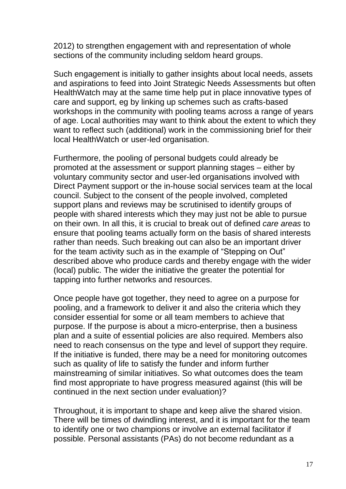2012) to strengthen engagement with and representation of whole sections of the community including seldom heard groups.

Such engagement is initially to gather insights about local needs, assets and aspirations to feed into Joint Strategic Needs Assessments but often HealthWatch may at the same time help put in place innovative types of care and support, eg by linking up schemes such as crafts-based workshops in the community with pooling teams across a range of years of age. Local authorities may want to think about the extent to which they want to reflect such (additional) work in the commissioning brief for their local HealthWatch or user-led organisation.

Furthermore, the pooling of personal budgets could already be promoted at the assessment or support planning stages – either by voluntary community sector and user-led organisations involved with Direct Payment support or the in-house social services team at the local council. Subject to the consent of the people involved, completed support plans and reviews may be scrutinised to identify groups of people with shared interests which they may just not be able to pursue on their own. In all this, it is crucial to break out of defined *care areas* to ensure that pooling teams actually form on the basis of shared interests rather than needs. Such breaking out can also be an important driver for the team activity such as in the example of "Stepping on Out" described above who produce cards and thereby engage with the wider (local) public. The wider the initiative the greater the potential for tapping into further networks and resources.

Once people have got together, they need to agree on a purpose for pooling, and a framework to deliver it and also the criteria which they consider essential for some or all team members to achieve that purpose. If the purpose is about a micro-enterprise, then a business plan and a suite of essential policies are also required. Members also need to reach consensus on the type and level of support they require. If the initiative is funded, there may be a need for monitoring outcomes such as quality of life to satisfy the funder and inform further mainstreaming of similar initiatives. So what outcomes does the team find most appropriate to have progress measured against (this will be continued in the next section under evaluation)?

Throughout, it is important to shape and keep alive the shared vision. There will be times of dwindling interest, and it is important for the team to identify one or two champions or involve an external facilitator if possible. Personal assistants (PAs) do not become redundant as a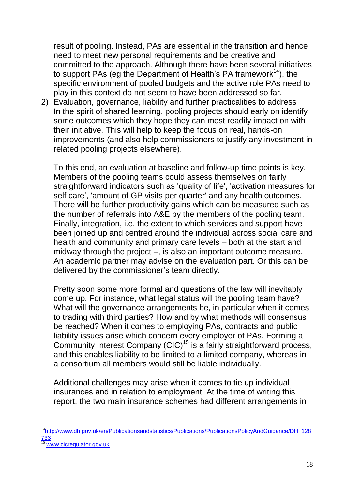result of pooling. Instead, PAs are essential in the transition and hence need to meet new personal requirements and be creative and committed to the approach. Although there have been several initiatives to support PAs (eq the Department of Health's PA framework<sup>14</sup>), the specific environment of pooled budgets and the active role PAs need to play in this context do not seem to have been addressed so far.

2) Evaluation, governance, liability and further practicalities to address In the spirit of shared learning, pooling projects should early on identify some outcomes which they hope they can most readily impact on with their initiative. This will help to keep the focus on real, hands-on improvements (and also help commissioners to justify any investment in related pooling projects elsewhere).

To this end, an evaluation at baseline and follow-up time points is key. Members of the pooling teams could assess themselves on fairly straightforward indicators such as 'quality of life', 'activation measures for self care', 'amount of GP visits per quarter' and any health outcomes. There will be further productivity gains which can be measured such as the number of referrals into A&E by the members of the pooling team. Finally, integration, i.e. the extent to which services and support have been joined up and centred around the individual across social care and health and community and primary care levels – both at the start and midway through the project –, is also an important outcome measure. An academic partner may advise on the evaluation part. Or this can be delivered by the commissioner's team directly.

Pretty soon some more formal and questions of the law will inevitably come up. For instance, what legal status will the pooling team have? What will the governance arrangements be, in particular when it comes to trading with third parties? How and by what methods will consensus be reached? When it comes to employing PAs, contracts and public liability issues arise which concern every employer of PAs. Forming a Community Interest Company (CIC)<sup>15</sup> is a fairly straightforward process, and this enables liability to be limited to a limited company, whereas in a consortium all members would still be liable individually.

Additional challenges may arise when it comes to tie up individual insurances and in relation to employment. At the time of writing this report, the two main insurance schemes had different arrangements in

 $\overline{a}$ 

<sup>&</sup>lt;sup>14</sup>[http://www.dh.gov.uk/en/Publicationsandstatistics/Publications/PublicationsPolicyAndGuidance/DH\\_128](http://www.dh.gov.uk/en/Publicationsandstatistics/Publications/PublicationsPolicyAndGuidance/DH_128733) [733](http://www.dh.gov.uk/en/Publicationsandstatistics/Publications/PublicationsPolicyAndGuidance/DH_128733)

[www.cicregulator.gov.uk](http://www.cicregulator.gov.uk/)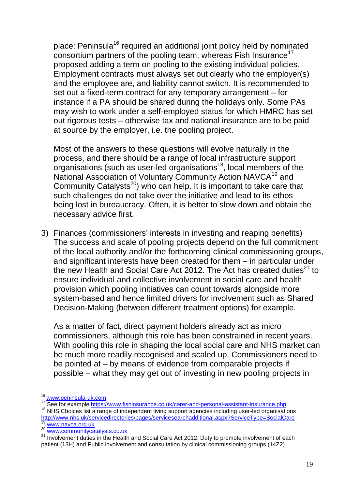place: Peninsula<sup>16</sup> required an additional joint policy held by nominated consortium partners of the pooling team, whereas Fish Insurance<sup>17</sup> proposed adding a term on pooling to the existing individual policies. Employment contracts must always set out clearly who the employer(s) and the employee are, and liability cannot switch. It is recommended to set out a fixed-term contract for any temporary arrangement – for instance if a PA should be shared during the holidays only. Some PAs may wish to work under a self-employed status for which HMRC has set out rigorous tests – otherwise tax and national insurance are to be paid at source by the employer, i.e. the pooling project.

Most of the answers to these questions will evolve naturally in the process, and there should be a range of local infrastructure support  $o$ rganisations (such as user-led organisations $18$ , local members of the National Association of Voluntary Community Action NAVCA<sup>19</sup> and Community Catalysts<sup>20</sup>) who can help. It is important to take care that such challenges do not take over the initiative and lead to its ethos being lost in bureaucracy. Often, it is better to slow down and obtain the necessary advice first.

3) Finances (commissioners' interests in investing and reaping benefits) The success and scale of pooling projects depend on the full commitment of the local authority and/or the forthcoming clinical commissioning groups, and significant interests have been created for them – in particular under the new Health and Social Care Act 2012. The Act has created duties<sup>21</sup> to ensure individual and collective involvement in social care and health provision which pooling initiatives can count towards alongside more system-based and hence limited drivers for involvement such as Shared Decision-Making (between different treatment options) for example.

As a matter of fact, direct payment holders already act as micro commissioners, although this role has been constrained in recent years. With pooling this role in shaping the local social care and NHS market can be much more readily recognised and scaled up. Commissioners need to be pointed at – by means of evidence from comparable projects if possible – what they may get out of investing in new pooling projects in

 $\overline{a}$ <sup>16</sup> [www.peninsula-uk.com](http://www.peninsula-uk.com/)

<sup>17</sup> See for example<https://www.fishinsurance.co.uk/carer-and-personal-assistant-insurance.php>

<sup>&</sup>lt;sup>18</sup> NHS Choices list a range of independent living support agencies including user-led organisations [http://www.nhs.uk/servicedirectories/pages/servicesearchadditional.aspx?ServiceType=SocialCare](https://remote.radar.org.uk/owa/redir.aspx?C=00be5726bd8840db92d0cf6d10ce4737&URL=http%3a%2f%2fwww.nhs.uk%2fservicedirectories%2fpages%2fservicesearchadditional.aspx%3fServiceType%3dSocialCare) 19 [www.navca.org.uk](http://www.navca.org.uk/)<br><sup>19</sup> www.navca.org.uk

[www.communitycatalysts.co.uk](http://www.communitycatalysts.co.uk/)

<sup>&</sup>lt;sup>21</sup> Involvement duties in the Health and Social Care Act 2012: Duty to promote involvement of each patient (13H) and Public involvement and consultation by clinical commissioning groups (14Z2)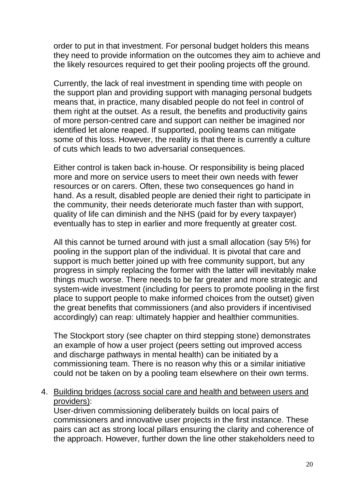order to put in that investment. For personal budget holders this means they need to provide information on the outcomes they aim to achieve and the likely resources required to get their pooling projects off the ground.

Currently, the lack of real investment in spending time with people on the support plan and providing support with managing personal budgets means that, in practice, many disabled people do not feel in control of them right at the outset. As a result, the benefits and productivity gains of more person-centred care and support can neither be imagined nor identified let alone reaped. If supported, pooling teams can mitigate some of this loss. However, the reality is that there is currently a culture of cuts which leads to two adversarial consequences.

Either control is taken back in-house. Or responsibility is being placed more and more on service users to meet their own needs with fewer resources or on carers. Often, these two consequences go hand in hand. As a result, disabled people are denied their right to participate in the community, their needs deteriorate much faster than with support, quality of life can diminish and the NHS (paid for by every taxpayer) eventually has to step in earlier and more frequently at greater cost.

All this cannot be turned around with just a small allocation (say 5%) for pooling in the support plan of the individual. It is pivotal that care and support is much better joined up with free community support, but any progress in simply replacing the former with the latter will inevitably make things much worse. There needs to be far greater and more strategic and system-wide investment (including for peers to promote pooling in the first place to support people to make informed choices from the outset) given the great benefits that commissioners (and also providers if incentivised accordingly) can reap: ultimately happier and healthier communities.

The Stockport story (see chapter on third stepping stone) demonstrates an example of how a user project (peers setting out improved access and discharge pathways in mental health) can be initiated by a commissioning team. There is no reason why this or a similar initiative could not be taken on by a pooling team elsewhere on their own terms.

#### 4. Building bridges (across social care and health and between users and providers):

User-driven commissioning deliberately builds on local pairs of commissioners and innovative user projects in the first instance. These pairs can act as strong local pillars ensuring the clarity and coherence of the approach. However, further down the line other stakeholders need to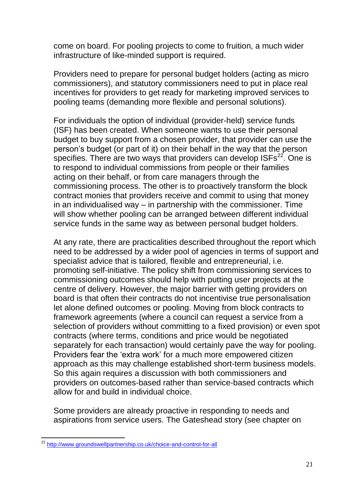come on board. For pooling projects to come to fruition, a much wider infrastructure of like-minded support is required.

Providers need to prepare for personal budget holders (acting as micro commissioners), and statutory commissioners need to put in place real incentives for providers to get ready for marketing improved services to pooling teams (demanding more flexible and personal solutions).

For individuals the option of individual (provider-held) service funds (ISF) has been created. When someone wants to use their personal budget to buy support from a chosen provider, that provider can use the person's budget (or part of it) on their behalf in the way that the person specifies. There are two ways that providers can develop  $1SFs^{22}$ . One is to respond to individual commissions from people or their families acting on their behalf, or from care managers through the commissioning process. The other is to proactively transform the block contract monies that providers receive and commit to using that money in an individualised way – in partnership with the commissioner. Time will show whether pooling can be arranged between different individual service funds in the same way as between personal budget holders.

At any rate, there are practicalities described throughout the report which need to be addressed by a wider pool of agencies in terms of support and specialist advice that is tailored, flexible and entrepreneurial, i.e. promoting self-initiative. The policy shift from commissioning services to commissioning outcomes should help with putting user projects at the centre of delivery. However, the major barrier with getting providers on board is that often their contracts do not incentivise true personalisation let alone defined outcomes or pooling. Moving from block contracts to framework agreements (where a council can request a service from a selection of providers without committing to a fixed provision) or even spot contracts (where terms, conditions and price would be negotiated separately for each transaction) would certainly pave the way for pooling. Providers fear the 'extra work' for a much more empowered citizen approach as this may challenge established short-term business models. So this again requires a discussion with both commissioners and providers on outcomes-based rather than service-based contracts which allow for and build in individual choice.

Some providers are already proactive in responding to needs and aspirations from service users. The Gateshead story (see chapter on

 $\overline{a}$ 

<sup>&</sup>lt;sup>22</sup> <http://www.groundswellpartnership.co.uk/choice-and-control-for-all>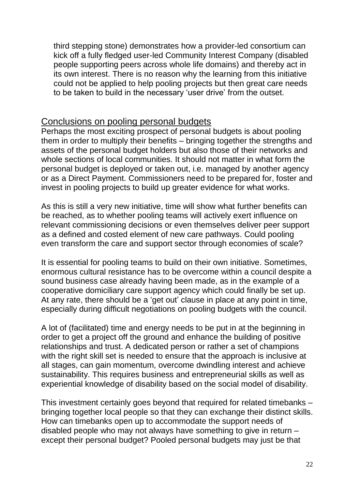third stepping stone) demonstrates how a provider-led consortium can kick off a fully fledged user-led Community Interest Company (disabled people supporting peers across whole life domains) and thereby act in its own interest. There is no reason why the learning from this initiative could not be applied to help pooling projects but then great care needs to be taken to build in the necessary 'user drive' from the outset.

#### Conclusions on pooling personal budgets

Perhaps the most exciting prospect of personal budgets is about pooling them in order to multiply their benefits – bringing together the strengths and assets of the personal budget holders but also those of their networks and whole sections of local communities. It should not matter in what form the personal budget is deployed or taken out, i.e. managed by another agency or as a Direct Payment. Commissioners need to be prepared for, foster and invest in pooling projects to build up greater evidence for what works.

As this is still a very new initiative, time will show what further benefits can be reached, as to whether pooling teams will actively exert influence on relevant commissioning decisions or even themselves deliver peer support as a defined and costed element of new care pathways. Could pooling even transform the care and support sector through economies of scale?

It is essential for pooling teams to build on their own initiative. Sometimes, enormous cultural resistance has to be overcome within a council despite a sound business case already having been made, as in the example of a cooperative domiciliary care support agency which could finally be set up. At any rate, there should be a 'get out' clause in place at any point in time, especially during difficult negotiations on pooling budgets with the council.

A lot of (facilitated) time and energy needs to be put in at the beginning in order to get a project off the ground and enhance the building of positive relationships and trust. A dedicated person or rather a set of champions with the right skill set is needed to ensure that the approach is inclusive at all stages, can gain momentum, overcome dwindling interest and achieve sustainability. This requires business and entrepreneurial skills as well as experiential knowledge of disability based on the social model of disability.

This investment certainly goes beyond that required for related timebanks – bringing together local people so that they can exchange their distinct skills. How can timebanks open up to accommodate the support needs of disabled people who may not always have something to give in return – except their personal budget? Pooled personal budgets may just be that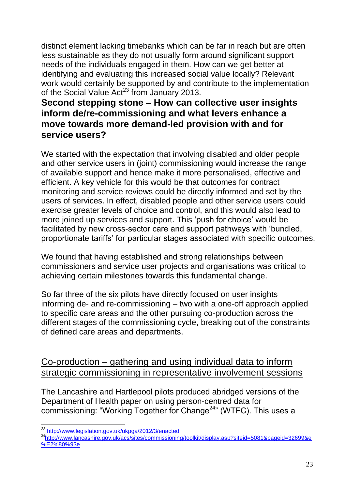distinct element lacking timebanks which can be far in reach but are often less sustainable as they do not usually form around significant support needs of the individuals engaged in them. How can we get better at identifying and evaluating this increased social value locally? Relevant work would certainly be supported by and contribute to the implementation of the Social Value  $Act^{23}$  from January 2013.

## **Second stepping stone – How can collective user insights inform de/re-commissioning and what levers enhance a move towards more demand-led provision with and for service users?**

We started with the expectation that involving disabled and older people and other service users in (joint) commissioning would increase the range of available support and hence make it more personalised, effective and efficient. A key vehicle for this would be that outcomes for contract monitoring and service reviews could be directly informed and set by the users of services. In effect, disabled people and other service users could exercise greater levels of choice and control, and this would also lead to more joined up services and support. This 'push for choice' would be facilitated by new cross-sector care and support pathways with 'bundled, proportionate tariffs' for particular stages associated with specific outcomes.

We found that having established and strong relationships between commissioners and service user projects and organisations was critical to achieving certain milestones towards this fundamental change.

So far three of the six pilots have directly focused on user insights informing de- and re-commissioning – two with a one-off approach applied to specific care areas and the other pursuing co-production across the different stages of the commissioning cycle, breaking out of the constraints of defined care areas and departments.

## Co-production – gathering and using individual data to inform strategic commissioning in representative involvement sessions

The Lancashire and Hartlepool pilots produced abridged versions of the Department of Health paper on using person-centred data for commissioning: "Working Together for Change<sup>24</sup>" (WTFC). This uses a

 $\overline{a}$ <sup>23</sup> <http://www.legislation.gov.uk/ukpga/2012/3/enacted>

<sup>24</sup>[http://www.lancashire.gov.uk/acs/sites/commissioning/toolkit/display.asp?siteid=5081&pageid=32699&e](http://www.lancashire.gov.uk/acs/sites/commissioning/toolkit/display.asp?siteid=5081&pageid=32699&e%E2%80%93e) [%E2%80%93e](http://www.lancashire.gov.uk/acs/sites/commissioning/toolkit/display.asp?siteid=5081&pageid=32699&e%E2%80%93e)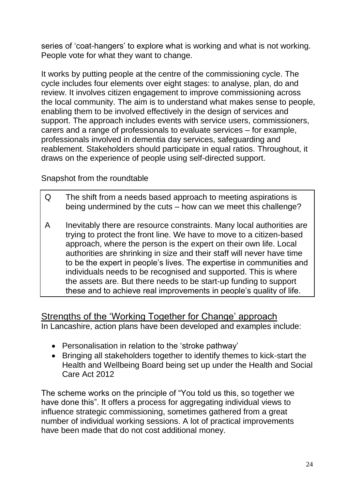series of 'coat-hangers' to explore what is working and what is not working. People vote for what they want to change.

It works by putting people at the centre of the commissioning cycle. The cycle includes four elements over eight stages: to analyse, plan, do and review. It involves citizen engagement to improve commissioning across the local community. The aim is to understand what makes sense to people, enabling them to be involved effectively in the design of services and support. The approach includes events with service users, commissioners, carers and a range of professionals to evaluate services – for example, professionals involved in dementia day services, safeguarding and reablement. Stakeholders should participate in equal ratios. Throughout, it draws on the experience of people using self-directed support.

Snapshot from the roundtable

- Q The shift from a needs based approach to meeting aspirations is being undermined by the cuts – how can we meet this challenge?
- A Inevitably there are resource constraints. Many local authorities are trying to protect the front line. We have to move to a citizen-based approach, where the person is the expert on their own life. Local authorities are shrinking in size and their staff will never have time to be the expert in people's lives. The expertise in communities and individuals needs to be recognised and supported. This is where the assets are. But there needs to be start-up funding to support these and to achieve real improvements in people's quality of life.

Strengths of the 'Working Together for Change' approach In Lancashire, action plans have been developed and examples include:

- Personalisation in relation to the 'stroke pathway'
- Bringing all stakeholders together to identify themes to kick-start the Health and Wellbeing Board being set up under the Health and Social Care Act 2012

The scheme works on the principle of "You told us this, so together we have done this". It offers a process for aggregating individual views to influence strategic commissioning, sometimes gathered from a great number of individual working sessions. A lot of practical improvements have been made that do not cost additional money.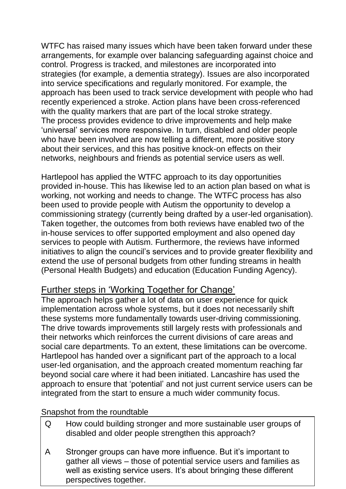WTFC has raised many issues which have been taken forward under these arrangements, for example over balancing safeguarding against choice and control. Progress is tracked, and milestones are incorporated into strategies (for example, a dementia strategy). Issues are also incorporated into service specifications and regularly monitored. For example, the approach has been used to track service development with people who had recently experienced a stroke. Action plans have been cross-referenced with the quality markers that are part of the local stroke strategy. The process provides evidence to drive improvements and help make 'universal' services more responsive. In turn, disabled and older people who have been involved are now telling a different, more positive story about their services, and this has positive knock-on effects on their networks, neighbours and friends as potential service users as well.

Hartlepool has applied the WTFC approach to its day opportunities provided in-house. This has likewise led to an action plan based on what is working, not working and needs to change. The WTFC process has also been used to provide people with Autism the opportunity to develop a commissioning strategy (currently being drafted by a user-led organisation). Taken together, the outcomes from both reviews have enabled two of the in-house services to offer supported employment and also opened day services to people with Autism. Furthermore, the reviews have informed initiatives to align the council's services and to provide greater flexibility and extend the use of personal budgets from other funding streams in health (Personal Health Budgets) and education (Education Funding Agency).

#### Further steps in 'Working Together for Change'

The approach helps gather a lot of data on user experience for quick implementation across whole systems, but it does not necessarily shift these systems more fundamentally towards user-driving commissioning. The drive towards improvements still largely rests with professionals and their networks which reinforces the current divisions of care areas and social care departments. To an extent, these limitations can be overcome. Hartlepool has handed over a significant part of the approach to a local user-led organisation, and the approach created momentum reaching far beyond social care where it had been initiated. Lancashire has used the approach to ensure that 'potential' and not just current service users can be integrated from the start to ensure a much wider community focus.

#### Snapshot from the roundtable

- Q How could building stronger and more sustainable user groups of disabled and older people strengthen this approach?
- A Stronger groups can have more influence. But it's important to gather all views – those of potential service users and families as well as existing service users. It's about bringing these different perspectives together.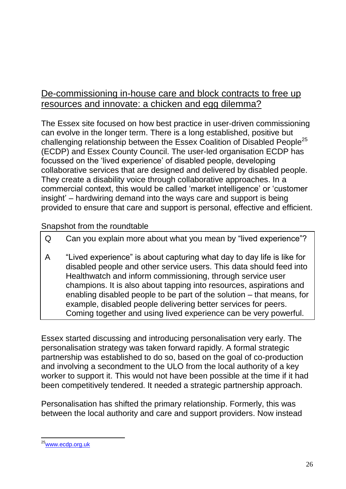## De-commissioning in-house care and block contracts to free up resources and innovate: a chicken and egg dilemma?

The Essex site focused on how best practice in user-driven commissioning can evolve in the longer term. There is a long established, positive but challenging relationship between the Essex Coalition of Disabled People<sup>25</sup> (ECDP) and Essex County Council. The user-led organisation ECDP has focussed on the 'lived experience' of disabled people, developing collaborative services that are designed and delivered by disabled people. They create a disability voice through collaborative approaches. In a commercial context, this would be called 'market intelligence' or 'customer insight' – hardwiring demand into the ways care and support is being provided to ensure that care and support is personal, effective and efficient.

#### Snapshot from the roundtable

- Q Can you explain more about what you mean by "lived experience"?
- A "Lived experience" is about capturing what day to day life is like for disabled people and other service users. This data should feed into Healthwatch and inform commissioning, through service user champions. It is also about tapping into resources, aspirations and enabling disabled people to be part of the solution – that means, for example, disabled people delivering better services for peers. Coming together and using lived experience can be very powerful.

Essex started discussing and introducing personalisation very early. The personalisation strategy was taken forward rapidly. A formal strategic partnership was established to do so, based on the goal of co-production and involving a secondment to the ULO from the local authority of a key worker to support it. This would not have been possible at the time if it had been competitively tendered. It needed a strategic partnership approach.

Personalisation has shifted the primary relationship. Formerly, this was between the local authority and care and support providers. Now instead

 $\overline{a}$ <sup>25</sup>[www.ecdp.org.uk](http://www.ecdp.org.uk/)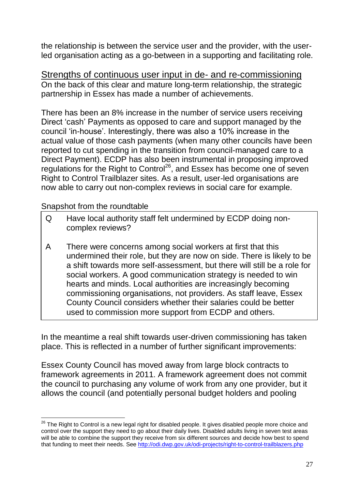the relationship is between the service user and the provider, with the userled organisation acting as a go-between in a supporting and facilitating role.

Strengths of continuous user input in de- and re-commissioning On the back of this clear and mature long-term relationship, the strategic partnership in Essex has made a number of achievements.

There has been an 8% increase in the number of service users receiving Direct 'cash' Payments as opposed to care and support managed by the council 'in-house'. Interestingly, there was also a 10% increase in the actual value of those cash payments (when many other councils have been reported to cut spending in the transition from council-managed care to a Direct Payment). ECDP has also been instrumental in proposing improved regulations for the Right to Control<sup>26</sup>, and Essex has become one of seven Right to Control Trailblazer sites. As a result, user-led organisations are now able to carry out non-complex reviews in social care for example.

#### Snapshot from the roundtable

 $\overline{a}$ 

- Q Have local authority staff felt undermined by ECDP doing noncomplex reviews?
- A There were concerns among social workers at first that this undermined their role, but they are now on side. There is likely to be a shift towards more self-assessment, but there will still be a role for social workers. A good communication strategy is needed to win hearts and minds. Local authorities are increasingly becoming commissioning organisations, not providers. As staff leave, Essex County Council considers whether their salaries could be better used to commission more support from ECDP and others.

In the meantime a real shift towards user-driven commissioning has taken place. This is reflected in a number of further significant improvements:

Essex County Council has moved away from large block contracts to framework agreements in 2011. A framework agreement does not commit the council to purchasing any volume of work from any one provider, but it allows the council (and potentially personal budget holders and pooling

<sup>&</sup>lt;sup>26</sup> The Right to Control is a new legal right for disabled people. It gives disabled people more choice and control over the support they need to go about their daily lives. Disabled adults living in seven test areas will be able to combine the support they receive from six different sources and decide how best to spend that funding to meet their needs. See<http://odi.dwp.gov.uk/odi-projects/right-to-control-trailblazers.php>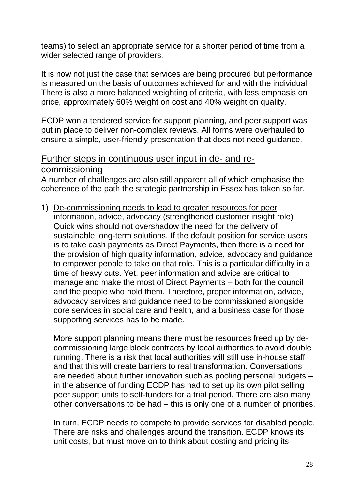teams) to select an appropriate service for a shorter period of time from a wider selected range of providers.

It is now not just the case that services are being procured but performance is measured on the basis of outcomes achieved for and with the individual. There is also a more balanced weighting of criteria, with less emphasis on price, approximately 60% weight on cost and 40% weight on quality.

ECDP won a tendered service for support planning, and peer support was put in place to deliver non-complex reviews. All forms were overhauled to ensure a simple, user-friendly presentation that does not need guidance.

#### Further steps in continuous user input in de- and recommissioning

A number of challenges are also still apparent all of which emphasise the coherence of the path the strategic partnership in Essex has taken so far.

1) De-commissioning needs to lead to greater resources for peer information, advice, advocacy (strengthened customer insight role) Quick wins should not overshadow the need for the delivery of sustainable long-term solutions. If the default position for service users is to take cash payments as Direct Payments, then there is a need for the provision of high quality information, advice, advocacy and guidance to empower people to take on that role. This is a particular difficulty in a time of heavy cuts. Yet, peer information and advice are critical to manage and make the most of Direct Payments – both for the council and the people who hold them. Therefore, proper information, advice, advocacy services and guidance need to be commissioned alongside core services in social care and health, and a business case for those supporting services has to be made.

More support planning means there must be resources freed up by decommissioning large block contracts by local authorities to avoid double running. There is a risk that local authorities will still use in-house staff and that this will create barriers to real transformation. Conversations are needed about further innovation such as pooling personal budgets – in the absence of funding ECDP has had to set up its own pilot selling peer support units to self-funders for a trial period. There are also many other conversations to be had – this is only one of a number of priorities.

In turn, ECDP needs to compete to provide services for disabled people. There are risks and challenges around the transition. ECDP knows its unit costs, but must move on to think about costing and pricing its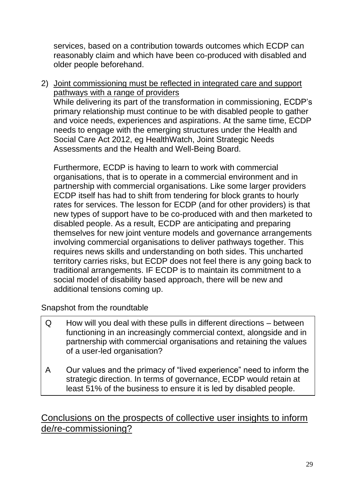services, based on a contribution towards outcomes which ECDP can reasonably claim and which have been co-produced with disabled and older people beforehand.

2) Joint commissioning must be reflected in integrated care and support pathways with a range of providers

While delivering its part of the transformation in commissioning, ECDP's primary relationship must continue to be with disabled people to gather and voice needs, experiences and aspirations. At the same time, ECDP needs to engage with the emerging structures under the Health and Social Care Act 2012, eg HealthWatch, Joint Strategic Needs Assessments and the Health and Well-Being Board.

Furthermore, ECDP is having to learn to work with commercial organisations, that is to operate in a commercial environment and in partnership with commercial organisations. Like some larger providers ECDP itself has had to shift from tendering for block grants to hourly rates for services. The lesson for ECDP (and for other providers) is that new types of support have to be co-produced with and then marketed to disabled people. As a result, ECDP are anticipating and preparing themselves for new joint venture models and governance arrangements involving commercial organisations to deliver pathways together. This requires news skills and understanding on both sides. This uncharted territory carries risks, but ECDP does not feel there is any going back to traditional arrangements. IF ECDP is to maintain its commitment to a social model of disability based approach, there will be new and additional tensions coming up.

Snapshot from the roundtable

- Q How will you deal with these pulls in different directions between functioning in an increasingly commercial context, alongside and in partnership with commercial organisations and retaining the values of a user-led organisation?
- A Our values and the primacy of "lived experience" need to inform the strategic direction. In terms of governance, ECDP would retain at least 51% of the business to ensure it is led by disabled people.

Conclusions on the prospects of collective user insights to inform de/re-commissioning?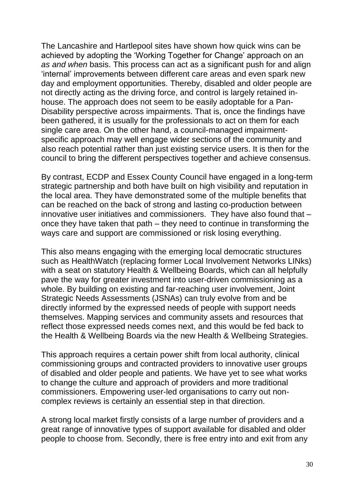The Lancashire and Hartlepool sites have shown how quick wins can be achieved by adopting the 'Working Together for Change' approach on an *as and when* basis. This process can act as a significant push for and align 'internal' improvements between different care areas and even spark new day and employment opportunities. Thereby, disabled and older people are not directly acting as the driving force, and control is largely retained inhouse. The approach does not seem to be easily adoptable for a Pan-Disability perspective across impairments. That is, once the findings have been gathered, it is usually for the professionals to act on them for each single care area. On the other hand, a council-managed impairmentspecific approach may well engage wider sections of the community and also reach potential rather than just existing service users. It is then for the council to bring the different perspectives together and achieve consensus.

By contrast, ECDP and Essex County Council have engaged in a long-term strategic partnership and both have built on high visibility and reputation in the local area. They have demonstrated some of the multiple benefits that can be reached on the back of strong and lasting co-production between innovative user initiatives and commissioners. They have also found that – once they have taken that path – they need to continue in transforming the ways care and support are commissioned or risk losing everything.

This also means engaging with the emerging local democratic structures such as HealthWatch (replacing former Local Involvement Networks LINks) with a seat on statutory Health & Wellbeing Boards, which can all helpfully pave the way for greater investment into user-driven commissioning as a whole. By building on existing and far-reaching user involvement, Joint Strategic Needs Assessments (JSNAs) can truly evolve from and be directly informed by the expressed needs of people with support needs themselves. Mapping services and community assets and resources that reflect those expressed needs comes next, and this would be fed back to the Health & Wellbeing Boards via the new Health & Wellbeing Strategies.

This approach requires a certain power shift from local authority, clinical commissioning groups and contracted providers to innovative user groups of disabled and older people and patients. We have yet to see what works to change the culture and approach of providers and more traditional commissioners. Empowering user-led organisations to carry out noncomplex reviews is certainly an essential step in that direction.

A strong local market firstly consists of a large number of providers and a great range of innovative types of support available for disabled and older people to choose from. Secondly, there is free entry into and exit from any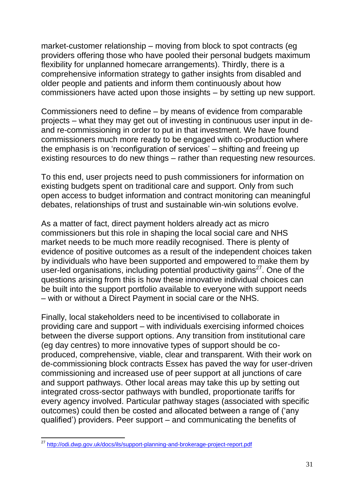market-customer relationship – moving from block to spot contracts (eg providers offering those who have pooled their personal budgets maximum flexibility for unplanned homecare arrangements). Thirdly, there is a comprehensive information strategy to gather insights from disabled and older people and patients and inform them continuously about how commissioners have acted upon those insights – by setting up new support.

Commissioners need to define – by means of evidence from comparable projects – what they may get out of investing in continuous user input in deand re-commissioning in order to put in that investment. We have found commissioners much more ready to be engaged with co-production where the emphasis is on 'reconfiguration of services' – shifting and freeing up existing resources to do new things – rather than requesting new resources.

To this end, user projects need to push commissioners for information on existing budgets spent on traditional care and support. Only from such open access to budget information and contract monitoring can meaningful debates, relationships of trust and sustainable win-win solutions evolve.

As a matter of fact, direct payment holders already act as micro commissioners but this role in shaping the local social care and NHS market needs to be much more readily recognised. There is plenty of evidence of positive outcomes as a result of the independent choices taken by individuals who have been supported and empowered to make them by user-led organisations, including potential productivity gains $27$ . One of the questions arising from this is how these innovative individual choices can be built into the support portfolio available to everyone with support needs – with or without a Direct Payment in social care or the NHS.

Finally, local stakeholders need to be incentivised to collaborate in providing care and support – with individuals exercising informed choices between the diverse support options. Any transition from institutional care (eg day centres) to more innovative types of support should be coproduced, comprehensive, viable, clear and transparent. With their work on de-commissioning block contracts Essex has paved the way for user-driven commissioning and increased use of peer support at all junctions of care and support pathways. Other local areas may take this up by setting out integrated cross-sector pathways with bundled, proportionate tariffs for every agency involved. Particular pathway stages (associated with specific outcomes) could then be costed and allocated between a range of ('any qualified') providers. Peer support – and communicating the benefits of

 $\overline{a}$ 

<sup>&</sup>lt;sup>27</sup> <http://odi.dwp.gov.uk/docs/ils/support-planning-and-brokerage-project-report.pdf>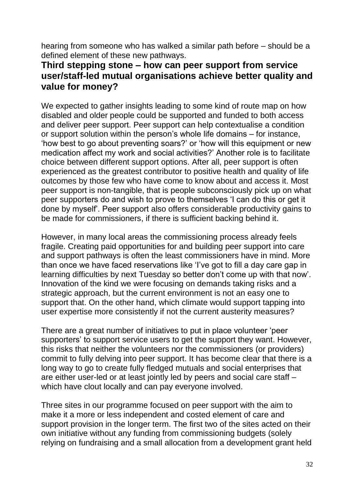hearing from someone who has walked a similar path before – should be a defined element of these new pathways.

## **Third stepping stone – how can peer support from service user/staff-led mutual organisations achieve better quality and value for money?**

We expected to gather insights leading to some kind of route map on how disabled and older people could be supported and funded to both access and deliver peer support. Peer support can help contextualise a condition or support solution within the person's whole life domains – for instance, 'how best to go about preventing soars?' or 'how will this equipment or new medication affect my work and social activities?' Another role is to facilitate choice between different support options. After all, peer support is often experienced as the greatest contributor to positive health and quality of life outcomes by those few who have come to know about and access it. Most peer support is non-tangible, that is people subconsciously pick up on what peer supporters do and wish to prove to themselves 'I can do this or get it done by myself'. Peer support also offers considerable productivity gains to be made for commissioners, if there is sufficient backing behind it.

However, in many local areas the commissioning process already feels fragile. Creating paid opportunities for and building peer support into care and support pathways is often the least commissioners have in mind. More than once we have faced reservations like 'I've got to fill a day care gap in learning difficulties by next Tuesday so better don't come up with that now'. Innovation of the kind we were focusing on demands taking risks and a strategic approach, but the current environment is not an easy one to support that. On the other hand, which climate would support tapping into user expertise more consistently if not the current austerity measures?

There are a great number of initiatives to put in place volunteer 'peer supporters' to support service users to get the support they want. However, this risks that neither the volunteers nor the commissioners (or providers) commit to fully delving into peer support. It has become clear that there is a long way to go to create fully fledged mutuals and social enterprises that are either user-led or at least jointly led by peers and social care staff – which have clout locally and can pay everyone involved.

Three sites in our programme focused on peer support with the aim to make it a more or less independent and costed element of care and support provision in the longer term. The first two of the sites acted on their own initiative without any funding from commissioning budgets (solely relying on fundraising and a small allocation from a development grant held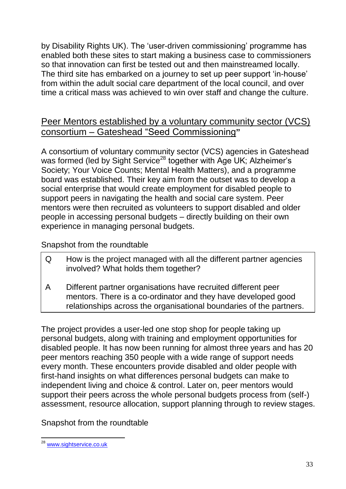by Disability Rights UK). The 'user-driven commissioning' programme has enabled both these sites to start making a business case to commissioners so that innovation can first be tested out and then mainstreamed locally. The third site has embarked on a journey to set up peer support 'in-house' from within the adult social care department of the local council, and over time a critical mass was achieved to win over staff and change the culture.

## Peer Mentors established by a voluntary community sector (VCS) consortium – Gateshead "Seed Commissioning**"**

A consortium of voluntary community sector (VCS) agencies in Gateshead was formed (led by Sight Service<sup>28</sup> together with Age UK; Alzheimer's Society; Your Voice Counts; Mental Health Matters), and a programme board was established. Their key aim from the outset was to develop a social enterprise that would create employment for disabled people to support peers in navigating the health and social care system. Peer mentors were then recruited as volunteers to support disabled and older people in accessing personal budgets – directly building on their own experience in managing personal budgets.

#### Snapshot from the roundtable

| How is the project managed with all the different partner agencies |
|--------------------------------------------------------------------|
| involved? What holds them together?                                |

A Different partner organisations have recruited different peer mentors. There is a co-ordinator and they have developed good relationships across the organisational boundaries of the partners.

The project provides a user-led one stop shop for people taking up personal budgets, along with training and employment opportunities for disabled people. It has now been running for almost three years and has 20 peer mentors reaching 350 people with a wide range of support needs every month. These encounters provide disabled and older people with first-hand insights on what differences personal budgets can make to independent living and choice & control. Later on, peer mentors would support their peers across the whole personal budgets process from (self-) assessment, resource allocation, support planning through to review stages.

Snapshot from the roundtable

 $\overline{a}$ <sup>28</sup> [www.sightservice.co.uk](http://www.sightservice.co.uk/)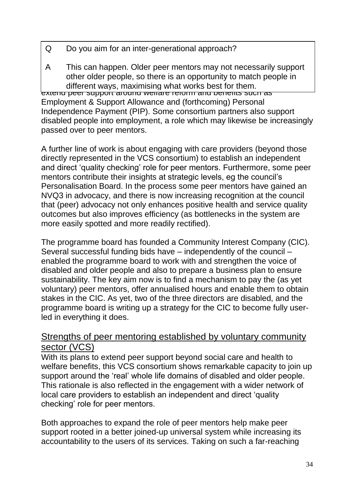- Q Do you aim for an inter-generational approach?
- other older people, so there is an opportunity to match people in  $\frac{1}{2}$  older performance are plane are plane and the different ways in available what works hest for them A This can happen. Older peer mentors may not necessarily support different ways, maximising what works best for them.

extend peer support around welfare reform and benefits such as Employment & Support Allowance and (forthcoming) Personal Independence Payment (PIP). Some consortium partners also support disabled people into employment, a role which may likewise be increasingly passed over to peer mentors.

A further line of work is about engaging with care providers (beyond those directly represented in the VCS consortium) to establish an independent and direct 'quality checking' role for peer mentors. Furthermore, some peer mentors contribute their insights at strategic levels, eg the council's Personalisation Board. In the process some peer mentors have gained an NVQ3 in advocacy, and there is now increasing recognition at the council that (peer) advocacy not only enhances positive health and service quality outcomes but also improves efficiency (as bottlenecks in the system are more easily spotted and more readily rectified).

The programme board has founded a Community Interest Company (CIC). Several successful funding bids have – independently of the council – enabled the programme board to work with and strengthen the voice of disabled and older people and also to prepare a business plan to ensure sustainability. The key aim now is to find a mechanism to pay the (as yet voluntary) peer mentors, offer annualised hours and enable them to obtain stakes in the CIC. As yet, two of the three directors are disabled, and the programme board is writing up a strategy for the CIC to become fully userled in everything it does.

## Strengths of peer mentoring established by voluntary community sector (VCS)

With its plans to extend peer support beyond social care and health to welfare benefits, this VCS consortium shows remarkable capacity to join up support around the 'real' whole life domains of disabled and older people. This rationale is also reflected in the engagement with a wider network of local care providers to establish an independent and direct 'quality checking' role for peer mentors.

Both approaches to expand the role of peer mentors help make peer support rooted in a better joined-up universal system while increasing its accountability to the users of its services. Taking on such a far-reaching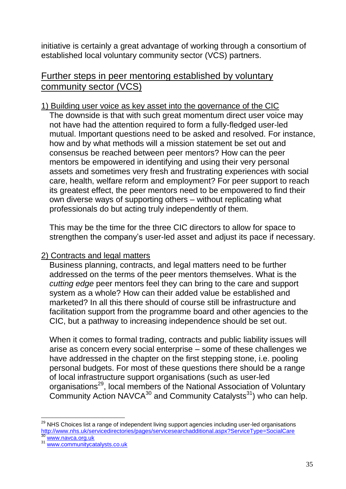initiative is certainly a great advantage of working through a consortium of established local voluntary community sector (VCS) partners.

#### Further steps in peer mentoring established by voluntary community sector (VCS)

#### 1) Building user voice as key asset into the governance of the CIC

The downside is that with such great momentum direct user voice may not have had the attention required to form a fully-fledged user-led mutual. Important questions need to be asked and resolved. For instance, how and by what methods will a mission statement be set out and consensus be reached between peer mentors? How can the peer mentors be empowered in identifying and using their very personal assets and sometimes very fresh and frustrating experiences with social care, health, welfare reform and employment? For peer support to reach its greatest effect, the peer mentors need to be empowered to find their own diverse ways of supporting others – without replicating what professionals do but acting truly independently of them.

This may be the time for the three CIC directors to allow for space to strengthen the company's user-led asset and adjust its pace if necessary.

#### 2) Contracts and legal matters

Business planning, contracts, and legal matters need to be further addressed on the terms of the peer mentors themselves. What is the *cutting edge* peer mentors feel they can bring to the care and support system as a whole? How can their added value be established and marketed? In all this there should of course still be infrastructure and facilitation support from the programme board and other agencies to the CIC, but a pathway to increasing independence should be set out.

When it comes to formal trading, contracts and public liability issues will arise as concern every social enterprise – some of these challenges we have addressed in the chapter on the first stepping stone, i.e. pooling personal budgets. For most of these questions there should be a range of local infrastructure support organisations (such as user-led organisations<sup>29</sup>, local members of the National Association of Voluntary Community Action NAVCA $30$  and Community Catalysts<sup>31</sup>) who can help.

 $\overline{a}$ 

 $^{29}$  NHS Choices list a range of independent living support agencies including user-led organisations [http://www.nhs.uk/servicedirectories/pages/servicesearchadditional.aspx?ServiceType=SocialCare](https://remote.radar.org.uk/owa/redir.aspx?C=00be5726bd8840db92d0cf6d10ce4737&URL=http%3a%2f%2fwww.nhs.uk%2fservicedirectories%2fpages%2fservicesearchadditional.aspx%3fServiceType%3dSocialCare) [www.navca.org.uk](http://www.navca.org.uk/)

[www.communitycatalysts.co.uk](http://www.communitycatalysts.co.uk/)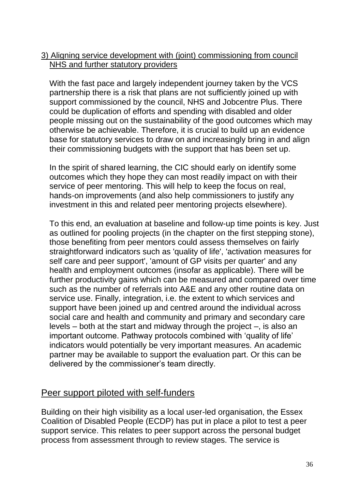#### 3) Aligning service development with (joint) commissioning from council NHS and further statutory providers

With the fast pace and largely independent journey taken by the VCS partnership there is a risk that plans are not sufficiently joined up with support commissioned by the council, NHS and Jobcentre Plus. There could be duplication of efforts and spending with disabled and older people missing out on the sustainability of the good outcomes which may otherwise be achievable. Therefore, it is crucial to build up an evidence base for statutory services to draw on and increasingly bring in and align their commissioning budgets with the support that has been set up.

In the spirit of shared learning, the CIC should early on identify some outcomes which they hope they can most readily impact on with their service of peer mentoring. This will help to keep the focus on real, hands-on improvements (and also help commissioners to justify any investment in this and related peer mentoring projects elsewhere).

To this end, an evaluation at baseline and follow-up time points is key. Just as outlined for pooling projects (in the chapter on the first stepping stone), those benefiting from peer mentors could assess themselves on fairly straightforward indicators such as 'quality of life', 'activation measures for self care and peer support', 'amount of GP visits per quarter' and any health and employment outcomes (insofar as applicable). There will be further productivity gains which can be measured and compared over time such as the number of referrals into A&E and any other routine data on service use. Finally, integration, i.e. the extent to which services and support have been joined up and centred around the individual across social care and health and community and primary and secondary care levels – both at the start and midway through the project –, is also an important outcome. Pathway protocols combined with 'quality of life' indicators would potentially be very important measures. An academic partner may be available to support the evaluation part. Or this can be delivered by the commissioner's team directly.

#### Peer support piloted with self-funders

Building on their high visibility as a local user-led organisation, the Essex Coalition of Disabled People (ECDP) has put in place a pilot to test a peer support service. This relates to peer support across the personal budget process from assessment through to review stages. The service is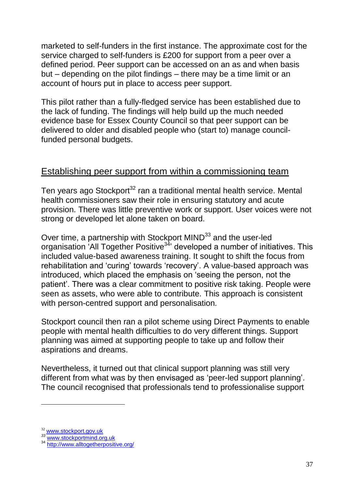marketed to self-funders in the first instance. The approximate cost for the service charged to self-funders is £200 for support from a peer over a defined period. Peer support can be accessed on an as and when basis but – depending on the pilot findings – there may be a time limit or an account of hours put in place to access peer support.

This pilot rather than a fully-fledged service has been established due to the lack of funding. The findings will help build up the much needed evidence base for Essex County Council so that peer support can be delivered to older and disabled people who (start to) manage councilfunded personal budgets.

#### Establishing peer support from within a commissioning team

Ten years ago Stockport<sup>32</sup> ran a traditional mental health service. Mental health commissioners saw their role in ensuring statutory and acute provision. There was little preventive work or support. User voices were not strong or developed let alone taken on board.

Over time, a partnership with Stockport MIND<sup>33</sup> and the user-led organisation 'All Together Positive<sup>34</sup>' developed a number of initiatives. This included value-based awareness training. It sought to shift the focus from rehabilitation and 'curing' towards 'recovery'. A value-based approach was introduced, which placed the emphasis on 'seeing the person, not the patient'. There was a clear commitment to positive risk taking. People were seen as assets, who were able to contribute. This approach is consistent with person-centred support and personalisation.

Stockport council then ran a pilot scheme using Direct Payments to enable people with mental health difficulties to do very different things. Support planning was aimed at supporting people to take up and follow their aspirations and dreams.

Nevertheless, it turned out that clinical support planning was still very different from what was by then envisaged as 'peer-led support planning'. The council recognised that professionals tend to professionalise support

 $\overline{a}$ 

<sup>&</sup>lt;sup>32</sup> [www.stockport.gov.uk](http://www.stockport.gov.uk/)

*<sup>33</sup>* [www.stockportmind.org.uk](http://www.stockportmind.org.uk/)

<sup>34</sup> <http://www.alltogetherpositive.org/>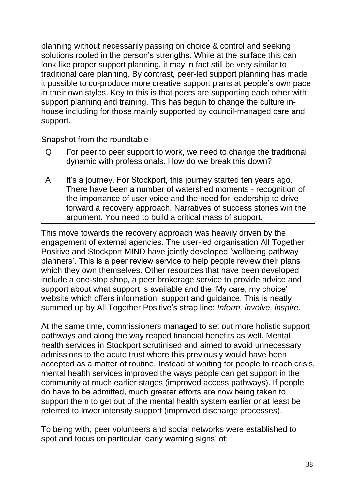planning without necessarily passing on choice & control and seeking solutions rooted in the person's strengths. While at the surface this can look like proper support planning, it may in fact still be very similar to traditional care planning. By contrast, peer-led support planning has made it possible to co-produce more creative support plans at people's own pace in their own styles. Key to this is that peers are supporting each other with support planning and training. This has begun to change the culture inhouse including for those mainly supported by council-managed care and support.

#### Snapshot from the roundtable

- Q For peer to peer support to work, we need to change the traditional dynamic with professionals. How do we break this down? A It's a journey. For Stockport, this journey started ten years ago.
- There have been a number of watershed moments recognition of the importance of user voice and the need for leadership to drive forward a recovery approach. Narratives of success stories win the argument. You need to build a critical mass of support.

This move towards the recovery approach was heavily driven by the engagement of external agencies. The user-led organisation All Together Positive and Stockport MIND have jointly developed 'wellbeing pathway planners'. This is a peer review service to help people review their plans which they own themselves. Other resources that have been developed include a one-stop shop, a peer brokerage service to provide advice and support about what support is available and the 'My care, my choice' website which offers information, support and guidance. This is neatly summed up by All Together Positive's strap line: *Inform, involve, inspire.*

At the same time, commissioners managed to set out more holistic support pathways and along the way reaped financial benefits as well. Mental health services in Stockport scrutinised and aimed to avoid unnecessary admissions to the acute trust where this previously would have been accepted as a matter of routine. Instead of waiting for people to reach crisis, mental health services improved the ways people can get support in the community at much earlier stages (improved access pathways). If people do have to be admitted, much greater efforts are now being taken to support them to get out of the mental health system earlier or at least be referred to lower intensity support (improved discharge processes).

To being with, peer volunteers and social networks were established to spot and focus on particular 'early warning signs' of: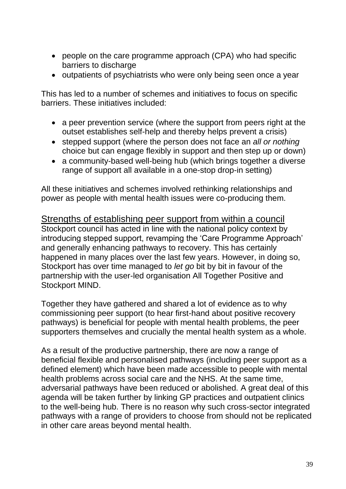- people on the care programme approach (CPA) who had specific barriers to discharge
- outpatients of psychiatrists who were only being seen once a year

This has led to a number of schemes and initiatives to focus on specific barriers. These initiatives included:

- a peer prevention service (where the support from peers right at the outset establishes self-help and thereby helps prevent a crisis)
- stepped support (where the person does not face an *all or nothing* choice but can engage flexibly in support and then step up or down)
- a community-based well-being hub (which brings together a diverse range of support all available in a one-stop drop-in setting)

All these initiatives and schemes involved rethinking relationships and power as people with mental health issues were co-producing them.

Strengths of establishing peer support from within a council Stockport council has acted in line with the national policy context by introducing stepped support, revamping the 'Care Programme Approach' and generally enhancing pathways to recovery. This has certainly happened in many places over the last few years. However, in doing so, Stockport has over time managed to *let go* bit by bit in favour of the partnership with the user-led organisation All Together Positive and Stockport MIND.

Together they have gathered and shared a lot of evidence as to why commissioning peer support (to hear first-hand about positive recovery pathways) is beneficial for people with mental health problems, the peer supporters themselves and crucially the mental health system as a whole.

As a result of the productive partnership, there are now a range of beneficial flexible and personalised pathways (including peer support as a defined element) which have been made accessible to people with mental health problems across social care and the NHS. At the same time, adversarial pathways have been reduced or abolished. A great deal of this agenda will be taken further by linking GP practices and outpatient clinics to the well-being hub. There is no reason why such cross-sector integrated pathways with a range of providers to choose from should not be replicated in other care areas beyond mental health.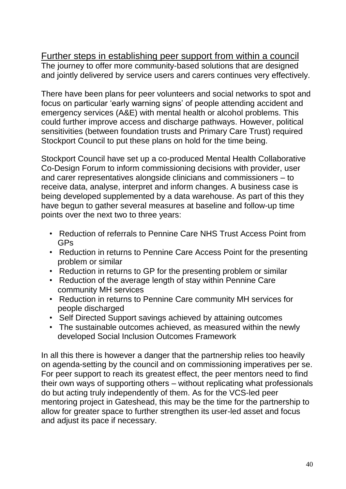Further steps in establishing peer support from within a council The journey to offer more community-based solutions that are designed and jointly delivered by service users and carers continues very effectively.

There have been plans for peer volunteers and social networks to spot and focus on particular 'early warning signs' of people attending accident and emergency services (A&E) with mental health or alcohol problems. This could further improve access and discharge pathways. However, political sensitivities (between foundation trusts and Primary Care Trust) required Stockport Council to put these plans on hold for the time being.

Stockport Council have set up a co-produced Mental Health Collaborative Co-Design Forum to inform commissioning decisions with provider, user and carer representatives alongside clinicians and commissioners – to receive data, analyse, interpret and inform changes. A business case is being developed supplemented by a data warehouse. As part of this they have begun to gather several measures at baseline and follow-up time points over the next two to three years:

- Reduction of referrals to Pennine Care NHS Trust Access Point from GPs
- Reduction in returns to Pennine Care Access Point for the presenting problem or similar
- Reduction in returns to GP for the presenting problem or similar
- Reduction of the average length of stay within Pennine Care community MH services
- Reduction in returns to Pennine Care community MH services for people discharged
- Self Directed Support savings achieved by attaining outcomes
- The sustainable outcomes achieved, as measured within the newly developed Social Inclusion Outcomes Framework

In all this there is however a danger that the partnership relies too heavily on agenda-setting by the council and on commissioning imperatives per se. For peer support to reach its greatest effect, the peer mentors need to find their own ways of supporting others – without replicating what professionals do but acting truly independently of them. As for the VCS-led peer mentoring project in Gateshead, this may be the time for the partnership to allow for greater space to further strengthen its user-led asset and focus and adjust its pace if necessary.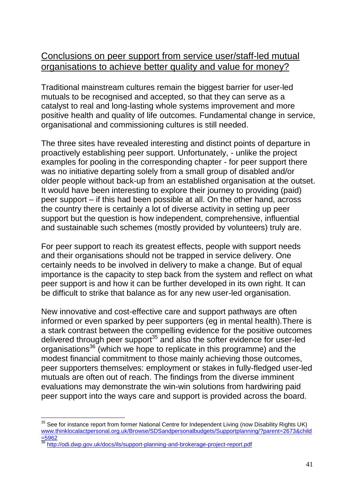## Conclusions on peer support from service user/staff-led mutual organisations to achieve better quality and value for money?

Traditional mainstream cultures remain the biggest barrier for user-led mutuals to be recognised and accepted, so that they can serve as a catalyst to real and long-lasting whole systems improvement and more positive health and quality of life outcomes. Fundamental change in service, organisational and commissioning cultures is still needed.

The three sites have revealed interesting and distinct points of departure in proactively establishing peer support. Unfortunately, - unlike the project examples for pooling in the corresponding chapter - for peer support there was no initiative departing solely from a small group of disabled and/or older people without back-up from an established organisation at the outset. It would have been interesting to explore their journey to providing (paid) peer support – if this had been possible at all. On the other hand, across the country there is certainly a lot of diverse activity in setting up peer support but the question is how independent, comprehensive, influential and sustainable such schemes (mostly provided by volunteers) truly are.

For peer support to reach its greatest effects, people with support needs and their organisations should not be trapped in service delivery. One certainly needs to be involved in delivery to make a change. But of equal importance is the capacity to step back from the system and reflect on what peer support is and how it can be further developed in its own right. It can be difficult to strike that balance as for any new user-led organisation.

New innovative and cost-effective care and support pathways are often informed or even sparked by peer supporters (eg in mental health).There is a stark contrast between the compelling evidence for the positive outcomes delivered through peer support<sup>35</sup> and also the softer evidence for user-led organisations<sup>36</sup> (which we hope to replicate in this programme) and the modest financial commitment to those mainly achieving those outcomes, peer supporters themselves: employment or stakes in fully-fledged user-led mutuals are often out of reach. The findings from the diverse imminent evaluations may demonstrate the win-win solutions from hardwiring paid peer support into the ways care and support is provided across the board.

 $\overline{a}$ 

 $35$  See for instance report from former National Centre for Independent Living (now Disability Rights UK) [www.thinklocalactpersonal.org.uk/Browse/SDSandpersonalbudgets/Supportplanning/?parent=2673&child](http://www.thinklocalactpersonal.org.uk/Browse/SDSandpersonalbudgets/Supportplanning/?parent=2673&child=5962) [=5962](http://www.thinklocalactpersonal.org.uk/Browse/SDSandpersonalbudgets/Supportplanning/?parent=2673&child=5962)

<http://odi.dwp.gov.uk/docs/ils/support-planning-and-brokerage-project-report.pdf>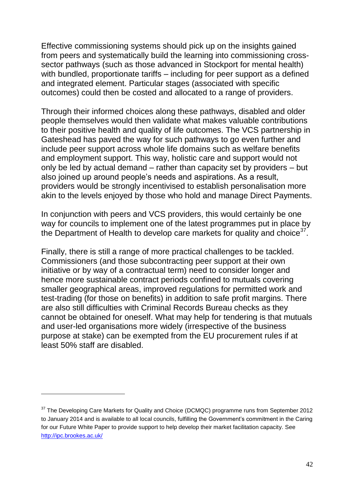Effective commissioning systems should pick up on the insights gained from peers and systematically build the learning into commissioning crosssector pathways (such as those advanced in Stockport for mental health) with bundled, proportionate tariffs – including for peer support as a defined and integrated element. Particular stages (associated with specific outcomes) could then be costed and allocated to a range of providers.

Through their informed choices along these pathways, disabled and older people themselves would then validate what makes valuable contributions to their positive health and quality of life outcomes. The VCS partnership in Gateshead has paved the way for such pathways to go even further and include peer support across whole life domains such as welfare benefits and employment support. This way, holistic care and support would not only be led by actual demand – rather than capacity set by providers – but also joined up around people's needs and aspirations. As a result, providers would be strongly incentivised to establish personalisation more akin to the levels enjoyed by those who hold and manage Direct Payments.

In conjunction with peers and VCS providers, this would certainly be one way for councils to implement one of the latest programmes put in place by the Department of Health to develop care markets for quality and choice<sup>37</sup>.

Finally, there is still a range of more practical challenges to be tackled. Commissioners (and those subcontracting peer support at their own initiative or by way of a contractual term) need to consider longer and hence more sustainable contract periods confined to mutuals covering smaller geographical areas, improved regulations for permitted work and test-trading (for those on benefits) in addition to safe profit margins. There are also still difficulties with Criminal Records Bureau checks as they cannot be obtained for oneself. What may help for tendering is that mutuals and user-led organisations more widely (irrespective of the business purpose at stake) can be exempted from the EU procurement rules if at least 50% staff are disabled.

 $\overline{a}$ 

<sup>&</sup>lt;sup>37</sup> The Developing Care Markets for Quality and Choice (DCMQC) programme runs from September 2012 to January 2014 and is available to all local councils, fulfilling the Government's commitment in the Caring for our Future White Paper to provide support to help develop their market facilitation capacity. See <http://ipc.brookes.ac.uk/>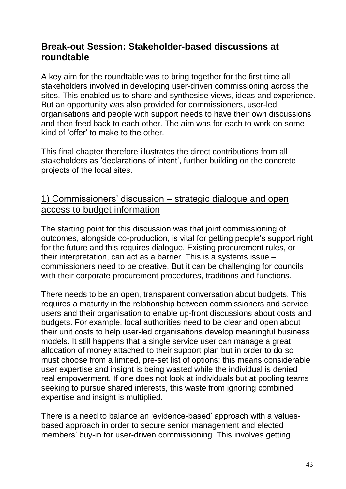## **Break-out Session: Stakeholder-based discussions at roundtable**

A key aim for the roundtable was to bring together for the first time all stakeholders involved in developing user-driven commissioning across the sites. This enabled us to share and synthesise views, ideas and experience. But an opportunity was also provided for commissioners, user-led organisations and people with support needs to have their own discussions and then feed back to each other. The aim was for each to work on some kind of 'offer' to make to the other.

This final chapter therefore illustrates the direct contributions from all stakeholders as 'declarations of intent', further building on the concrete projects of the local sites.

## 1) Commissioners' discussion – strategic dialogue and open access to budget information

The starting point for this discussion was that joint commissioning of outcomes, alongside co-production, is vital for getting people's support right for the future and this requires dialogue. Existing procurement rules, or their interpretation, can act as a barrier. This is a systems issue – commissioners need to be creative. But it can be challenging for councils with their corporate procurement procedures, traditions and functions.

There needs to be an open, transparent conversation about budgets. This requires a maturity in the relationship between commissioners and service users and their organisation to enable up-front discussions about costs and budgets. For example, local authorities need to be clear and open about their unit costs to help user-led organisations develop meaningful business models. It still happens that a single service user can manage a great allocation of money attached to their support plan but in order to do so must choose from a limited, pre-set list of options; this means considerable user expertise and insight is being wasted while the individual is denied real empowerment. If one does not look at individuals but at pooling teams seeking to pursue shared interests, this waste from ignoring combined expertise and insight is multiplied.

There is a need to balance an 'evidence-based' approach with a valuesbased approach in order to secure senior management and elected members' buy-in for user-driven commissioning. This involves getting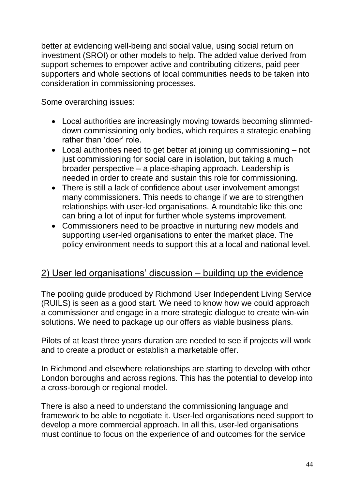better at evidencing well-being and social value, using social return on investment (SROI) or other models to help. The added value derived from support schemes to empower active and contributing citizens, paid peer supporters and whole sections of local communities needs to be taken into consideration in commissioning processes.

Some overarching issues:

- Local authorities are increasingly moving towards becoming slimmeddown commissioning only bodies, which requires a strategic enabling rather than 'doer' role.
- Local authorities need to get better at joining up commissioning not just commissioning for social care in isolation, but taking a much broader perspective – a place-shaping approach. Leadership is needed in order to create and sustain this role for commissioning.
- There is still a lack of confidence about user involvement amongst many commissioners. This needs to change if we are to strengthen relationships with user-led organisations. A roundtable like this one can bring a lot of input for further whole systems improvement.
- Commissioners need to be proactive in nurturing new models and supporting user-led organisations to enter the market place. The policy environment needs to support this at a local and national level.

## 2) User led organisations' discussion – building up the evidence

The pooling guide produced by Richmond User Independent Living Service (RUILS) is seen as a good start. We need to know how we could approach a commissioner and engage in a more strategic dialogue to create win-win solutions. We need to package up our offers as viable business plans.

Pilots of at least three years duration are needed to see if projects will work and to create a product or establish a marketable offer.

In Richmond and elsewhere relationships are starting to develop with other London boroughs and across regions. This has the potential to develop into a cross-borough or regional model.

There is also a need to understand the commissioning language and framework to be able to negotiate it. User-led organisations need support to develop a more commercial approach. In all this, user-led organisations must continue to focus on the experience of and outcomes for the service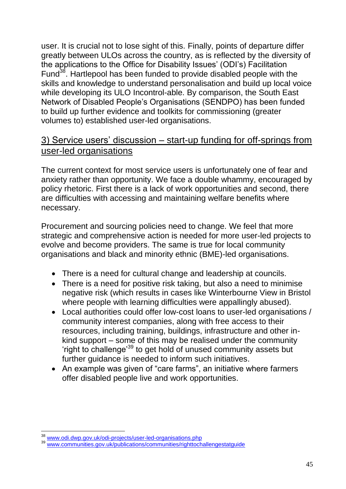user. It is crucial not to lose sight of this. Finally, points of departure differ greatly between ULOs across the country, as is reflected by the diversity of the applications to the Office for Disability Issues' (ODI's) Facilitation Fund<sup>38</sup>. Hartlepool has been funded to provide disabled people with the skills and knowledge to understand personalisation and build up local voice while developing its ULO Incontrol-able. By comparison, the South East Network of Disabled People's Organisations (SENDPO) has been funded to build up further evidence and toolkits for commissioning (greater volumes to) established user-led organisations.

## 3) Service users' discussion – start-up funding for off-springs from user-led organisations

The current context for most service users is unfortunately one of fear and anxiety rather than opportunity. We face a double whammy, encouraged by policy rhetoric. First there is a lack of work opportunities and second, there are difficulties with accessing and maintaining welfare benefits where necessary.

Procurement and sourcing policies need to change. We feel that more strategic and comprehensive action is needed for more user-led projects to evolve and become providers. The same is true for local community organisations and black and minority ethnic (BME)-led organisations.

- There is a need for cultural change and leadership at councils.
- There is a need for positive risk taking, but also a need to minimise negative risk (which results in cases like Winterbourne View in Bristol where people with learning difficulties were appallingly abused).
- Local authorities could offer low-cost loans to user-led organisations / community interest companies, along with free access to their resources, including training, buildings, infrastructure and other inkind support – some of this may be realised under the community 'right to challenge'<sup>39</sup> to get hold of unused community assets but further guidance is needed to inform such initiatives.
- An example was given of "care farms", an initiative where farmers offer disabled people live and work opportunities.

 $\overline{a}$ <sup>38</sup> [www.odi.dwp.gov.uk/odi-projects/user-led-organisations.php](http://www.odi.dwp.gov.uk/odi-projects/user-led-organisations.php)

<sup>39</sup> [www.communities.gov.uk/publications/communities/righttochallengestatguide](http://www.communities.gov.uk/publications/communities/righttochallengestatguide)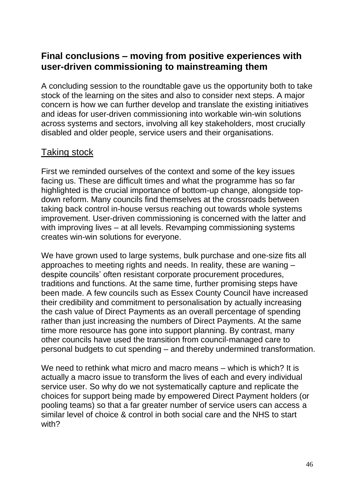## **Final conclusions – moving from positive experiences with user-driven commissioning to mainstreaming them**

A concluding session to the roundtable gave us the opportunity both to take stock of the learning on the sites and also to consider next steps. A major concern is how we can further develop and translate the existing initiatives and ideas for user-driven commissioning into workable win-win solutions across systems and sectors, involving all key stakeholders, most crucially disabled and older people, service users and their organisations.

## Taking stock

First we reminded ourselves of the context and some of the key issues facing us. These are difficult times and what the programme has so far highlighted is the crucial importance of bottom-up change, alongside topdown reform. Many councils find themselves at the crossroads between taking back control in-house versus reaching out towards whole systems improvement. User-driven commissioning is concerned with the latter and with improving lives – at all levels. Revamping commissioning systems creates win-win solutions for everyone.

We have grown used to large systems, bulk purchase and one-size fits all approaches to meeting rights and needs. In reality, these are waning – despite councils' often resistant corporate procurement procedures, traditions and functions. At the same time, further promising steps have been made. A few councils such as Essex County Council have increased their credibility and commitment to personalisation by actually increasing the cash value of Direct Payments as an overall percentage of spending rather than just increasing the numbers of Direct Payments. At the same time more resource has gone into support planning. By contrast, many other councils have used the transition from council-managed care to personal budgets to cut spending – and thereby undermined transformation.

We need to rethink what micro and macro means – which is which? It is actually a macro issue to transform the lives of each and every individual service user. So why do we not systematically capture and replicate the choices for support being made by empowered Direct Payment holders (or pooling teams) so that a far greater number of service users can access a similar level of choice & control in both social care and the NHS to start with?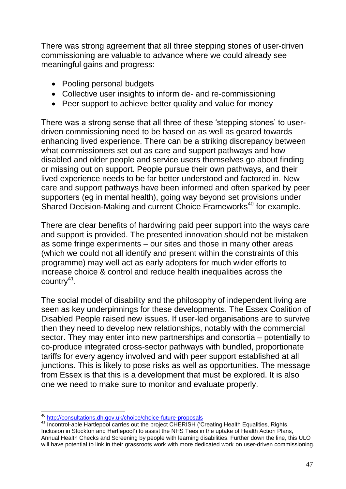There was strong agreement that all three stepping stones of user-driven commissioning are valuable to advance where we could already see meaningful gains and progress:

- Pooling personal budgets
- Collective user insights to inform de- and re-commissioning
- Peer support to achieve better quality and value for money

There was a strong sense that all three of these 'stepping stones' to userdriven commissioning need to be based on as well as geared towards enhancing lived experience. There can be a striking discrepancy between what commissioners set out as care and support pathways and how disabled and older people and service users themselves go about finding or missing out on support. People pursue their own pathways, and their lived experience needs to be far better understood and factored in. New care and support pathways have been informed and often sparked by peer supporters (eg in mental health), going way beyond set provisions under Shared Decision-Making and current Choice Frameworks<sup>40</sup> for example.

There are clear benefits of hardwiring paid peer support into the ways care and support is provided. The presented innovation should not be mistaken as some fringe experiments – our sites and those in many other areas (which we could not all identify and present within the constraints of this programme) may well act as early adopters for much wider efforts to increase choice & control and reduce health inequalities across the country<sup>41</sup>.

The social model of disability and the philosophy of independent living are seen as key underpinnings for these developments. The Essex Coalition of Disabled People raised new issues. If user-led organisations are to survive then they need to develop new relationships, notably with the commercial sector. They may enter into new partnerships and consortia – potentially to co-produce integrated cross-sector pathways with bundled, proportionate tariffs for every agency involved and with peer support established at all junctions. This is likely to pose risks as well as opportunities. The message from Essex is that this is a development that must be explored. It is also one we need to make sure to monitor and evaluate properly.

41 Incontrol-able Hartlepool carries out the project CHERISH ('Creating Health Equalities, Rights,

 <sup>40</sup> <http://consultations.dh.gov.uk/choice/choice-future-proposals>

Inclusion in Stockton and Hartlepool') to assist the NHS Tees in the uptake of Health Action Plans, Annual Health Checks and Screening by people with learning disabilities. Further down the line, this ULO

will have potential to link in their grassroots work with more dedicated work on user-driven commissioning.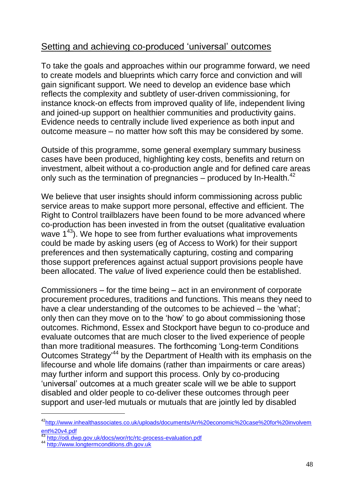## Setting and achieving co-produced 'universal' outcomes

To take the goals and approaches within our programme forward, we need to create models and blueprints which carry force and conviction and will gain significant support. We need to develop an evidence base which reflects the complexity and subtlety of user-driven commissioning, for instance knock-on effects from improved quality of life, independent living and joined-up support on healthier communities and productivity gains. Evidence needs to centrally include lived experience as both input and outcome measure – no matter how soft this may be considered by some.

Outside of this programme, some general exemplary summary business cases have been produced, highlighting key costs, benefits and return on investment, albeit without a co-production angle and for defined care areas only such as the termination of pregnancies – produced by In-Health. $^{42}$ 

We believe that user insights should inform commissioning across public service areas to make support more personal, effective and efficient. The Right to Control trailblazers have been found to be more advanced where co-production has been invested in from the outset (qualitative evaluation wave  $1^{43}$ ). We hope to see from further evaluations what improvements could be made by asking users (eg of Access to Work) for their support preferences and then systematically capturing, costing and comparing those support preferences against actual support provisions people have been allocated. The *value* of lived experience could then be established.

Commissioners – for the time being – act in an environment of corporate procurement procedures, traditions and functions. This means they need to have a clear understanding of the outcomes to be achieved – the 'what'; only then can they move on to the 'how' to go about commissioning those outcomes. Richmond, Essex and Stockport have begun to co-produce and evaluate outcomes that are much closer to the lived experience of people than more traditional measures. The forthcoming 'Long-term Conditions Outcomes Strategy<sup>44</sup> by the Department of Health with its emphasis on the lifecourse and whole life domains (rather than impairments or care areas) may further inform and support this process. Only by co-producing 'universal' outcomes at a much greater scale will we be able to support disabled and older people to co-deliver these outcomes through peer support and user-led mutuals or mutuals that are jointly led by disabled

 $\overline{a}$ 

<sup>42</sup>[http://www.inhealthassociates.co.uk/uploads/documents/An%20economic%20case%20for%20involvem](http://www.inhealthassociates.co.uk/uploads/documents/An%20economic%20case%20for%20involvement%20v4.pdf) [ent%20v4.pdf](http://www.inhealthassociates.co.uk/uploads/documents/An%20economic%20case%20for%20involvement%20v4.pdf)

<sup>&</sup>lt;sup>43</sup> <http://odi.dwp.gov.uk/docs/wor/rtc/rtc-process-evaluation.pdf>

<sup>44</sup> [http://www.longtermconditions.dh.gov.uk](http://www.longtermconditions.dh.gov.uk/)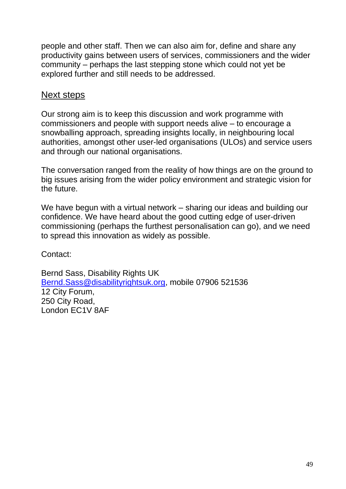people and other staff. Then we can also aim for, define and share any productivity gains between users of services, commissioners and the wider community – perhaps the last stepping stone which could not yet be explored further and still needs to be addressed.

## Next steps

Our strong aim is to keep this discussion and work programme with commissioners and people with support needs alive – to encourage a snowballing approach, spreading insights locally, in neighbouring local authorities, amongst other user-led organisations (ULOs) and service users and through our national organisations.

The conversation ranged from the reality of how things are on the ground to big issues arising from the wider policy environment and strategic vision for the future.

We have begun with a virtual network – sharing our ideas and building our confidence. We have heard about the good cutting edge of user-driven commissioning (perhaps the furthest personalisation can go), and we need to spread this innovation as widely as possible.

Contact:

Bernd Sass, Disability Rights UK [Bernd.Sass@disabilityrightsuk.org,](mailto:Bernd.Sass@disabilityrightsuk.org) mobile 07906 521536 12 City Forum, 250 City Road, London EC1V 8AF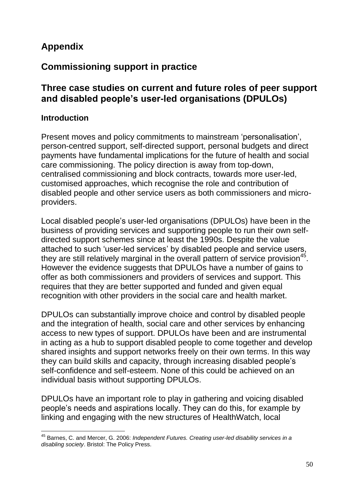# **Appendix**

# **Commissioning support in practice**

## **Three case studies on current and future roles of peer support and disabled people's user-led organisations (DPULOs)**

#### **Introduction**

Present moves and policy commitments to mainstream 'personalisation', person-centred support, self-directed support, personal budgets and direct payments have fundamental implications for the future of health and social care commissioning. The policy direction is away from top-down, centralised commissioning and block contracts, towards more user-led, customised approaches, which recognise the role and contribution of disabled people and other service users as both commissioners and microproviders.

Local disabled people's user-led organisations (DPULOs) have been in the business of providing services and supporting people to run their own selfdirected support schemes since at least the 1990s. Despite the value attached to such 'user-led services' by disabled people and service users, they are still relatively marginal in the overall pattern of service provision<sup>45</sup>. However the evidence suggests that DPULOs have a number of gains to offer as both commissioners and providers of services and support. This requires that they are better supported and funded and given equal recognition with other providers in the social care and health market.

DPULOs can substantially improve choice and control by disabled people and the integration of health, social care and other services by enhancing access to new types of support. DPULOs have been and are instrumental in acting as a hub to support disabled people to come together and develop shared insights and support networks freely on their own terms. In this way they can build skills and capacity, through increasing disabled people's self-confidence and self-esteem. None of this could be achieved on an individual basis without supporting DPULOs.

DPULOs have an important role to play in gathering and voicing disabled people's needs and aspirations locally. They can do this, for example by linking and engaging with the new structures of HealthWatch, local

 $\overline{a}$ <sup>45</sup> Barnes, C. and Mercer, G. 2006: *Independent Futures. Creating user-led disability services in a disabling society*. Bristol: The Policy Press.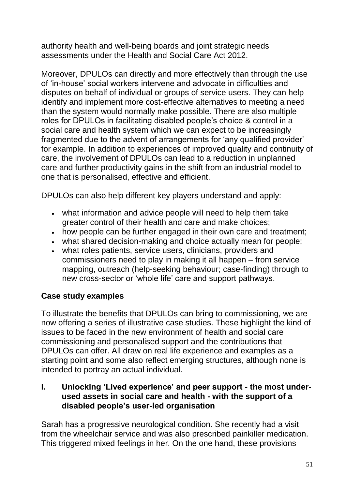authority health and well-being boards and joint strategic needs assessments under the Health and Social Care Act 2012.

Moreover, DPULOs can directly and more effectively than through the use of 'in-house' social workers intervene and advocate in difficulties and disputes on behalf of individual or groups of service users. They can help identify and implement more cost-effective alternatives to meeting a need than the system would normally make possible. There are also multiple roles for DPULOs in facilitating disabled people's choice & control in a social care and health system which we can expect to be increasingly fragmented due to the advent of arrangements for 'any qualified provider' for example. In addition to experiences of improved quality and continuity of care, the involvement of DPULOs can lead to a reduction in unplanned care and further productivity gains in the shift from an industrial model to one that is personalised, effective and efficient.

DPULOs can also help different key players understand and apply:

- what information and advice people will need to help them take greater control of their health and care and make choices;
- how people can be further engaged in their own care and treatment;
- what shared decision-making and choice actually mean for people;
- what roles patients, service users, clinicians, providers and commissioners need to play in making it all happen – from service mapping, outreach (help-seeking behaviour; case-finding) through to new cross-sector or 'whole life' care and support pathways.

#### **Case study examples**

To illustrate the benefits that DPULOs can bring to commissioning, we are now offering a series of illustrative case studies. These highlight the kind of issues to be faced in the new environment of health and social care commissioning and personalised support and the contributions that DPULOs can offer. All draw on real life experience and examples as a starting point and some also reflect emerging structures, although none is intended to portray an actual individual.

**I. Unlocking 'Lived experience' and peer support - the most underused assets in social care and health - with the support of a disabled people's user-led organisation** 

Sarah has a progressive neurological condition. She recently had a visit from the wheelchair service and was also prescribed painkiller medication. This triggered mixed feelings in her. On the one hand, these provisions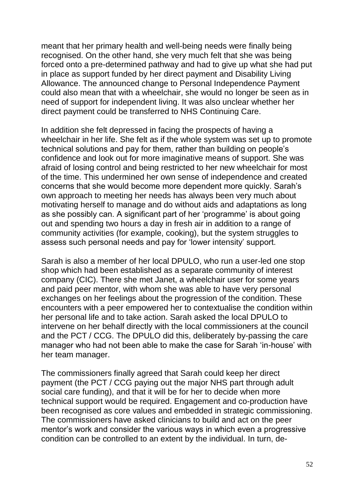meant that her primary health and well-being needs were finally being recognised. On the other hand, she very much felt that she was being forced onto a pre-determined pathway and had to give up what she had put in place as support funded by her direct payment and Disability Living Allowance. The announced change to Personal Independence Payment could also mean that with a wheelchair, she would no longer be seen as in need of support for independent living. It was also unclear whether her direct payment could be transferred to NHS Continuing Care.

In addition she felt depressed in facing the prospects of having a wheelchair in her life. She felt as if the whole system was set up to promote technical solutions and pay for them, rather than building on people's confidence and look out for more imaginative means of support. She was afraid of losing control and being restricted to her new wheelchair for most of the time. This undermined her own sense of independence and created concerns that she would become more dependent more quickly. Sarah's own approach to meeting her needs has always been very much about motivating herself to manage and do without aids and adaptations as long as she possibly can. A significant part of her 'programme' is about going out and spending two hours a day in fresh air in addition to a range of community activities (for example, cooking), but the system struggles to assess such personal needs and pay for 'lower intensity' support.

Sarah is also a member of her local DPULO, who run a user-led one stop shop which had been established as a separate community of interest company (CIC). There she met Janet, a wheelchair user for some years and paid peer mentor, with whom she was able to have very personal exchanges on her feelings about the progression of the condition. These encounters with a peer empowered her to contextualise the condition within her personal life and to take action. Sarah asked the local DPULO to intervene on her behalf directly with the local commissioners at the council and the PCT / CCG. The DPULO did this, deliberately by-passing the care manager who had not been able to make the case for Sarah 'in-house' with her team manager.

The commissioners finally agreed that Sarah could keep her direct payment (the PCT / CCG paying out the major NHS part through adult social care funding), and that it will be for her to decide when more technical support would be required. Engagement and co-production have been recognised as core values and embedded in strategic commissioning. The commissioners have asked clinicians to build and act on the peer mentor's work and consider the various ways in which even a progressive condition can be controlled to an extent by the individual. In turn, de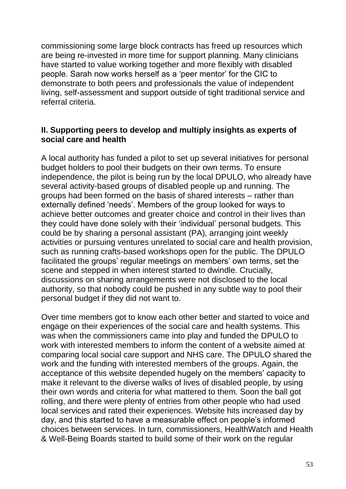commissioning some large block contracts has freed up resources which are being re-invested in more time for support planning. Many clinicians have started to value working together and more flexibly with disabled people. Sarah now works herself as a 'peer mentor' for the CIC to demonstrate to both peers and professionals the value of independent living, self-assessment and support outside of tight traditional service and referral criteria.

#### **II. Supporting peers to develop and multiply insights as experts of social care and health**

A local authority has funded a pilot to set up several initiatives for personal budget holders to pool their budgets on their own terms. To ensure independence, the pilot is being run by the local DPULO, who already have several activity-based groups of disabled people up and running. The groups had been formed on the basis of shared interests – rather than externally defined 'needs'. Members of the group looked for ways to achieve better outcomes and greater choice and control in their lives than they could have done solely with their 'individual' personal budgets. This could be by sharing a personal assistant (PA), arranging joint weekly activities or pursuing ventures unrelated to social care and health provision, such as running crafts-based workshops open for the public. The DPULO facilitated the groups' regular meetings on members' own terms, set the scene and stepped in when interest started to dwindle. Crucially, discussions on sharing arrangements were not disclosed to the local authority, so that nobody could be pushed in any subtle way to pool their personal budget if they did not want to.

Over time members got to know each other better and started to voice and engage on their experiences of the social care and health systems. This was when the commissioners came into play and funded the DPULO to work with interested members to inform the content of a website aimed at comparing local social care support and NHS care. The DPULO shared the work and the funding with interested members of the groups. Again, the acceptance of this website depended hugely on the members' capacity to make it relevant to the diverse walks of lives of disabled people, by using their own words and criteria for what mattered to them. Soon the ball got rolling, and there were plenty of entries from other people who had used local services and rated their experiences. Website hits increased day by day, and this started to have a measurable effect on people's informed choices between services. In turn, commissioners, HealthWatch and Health & Well-Being Boards started to build some of their work on the regular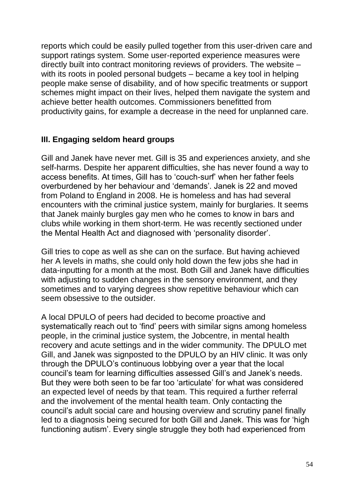reports which could be easily pulled together from this user-driven care and support ratings system. Some user-reported experience measures were directly built into contract monitoring reviews of providers. The website – with its roots in pooled personal budgets – became a key tool in helping people make sense of disability, and of how specific treatments or support schemes might impact on their lives, helped them navigate the system and achieve better health outcomes. Commissioners benefitted from productivity gains, for example a decrease in the need for unplanned care.

#### **III. Engaging seldom heard groups**

Gill and Janek have never met. Gill is 35 and experiences anxiety, and she self-harms. Despite her apparent difficulties, she has never found a way to access benefits. At times, Gill has to 'couch-surf' when her father feels overburdened by her behaviour and 'demands'. Janek is 22 and moved from Poland to England in 2008. He is homeless and has had several encounters with the criminal justice system, mainly for burglaries. It seems that Janek mainly burgles gay men who he comes to know in bars and clubs while working in them short-term. He was recently sectioned under the Mental Health Act and diagnosed with 'personality disorder'.

Gill tries to cope as well as she can on the surface. But having achieved her A levels in maths, she could only hold down the few jobs she had in data-inputting for a month at the most. Both Gill and Janek have difficulties with adjusting to sudden changes in the sensory environment, and they sometimes and to varying degrees show repetitive behaviour which can seem obsessive to the outsider.

A local DPULO of peers had decided to become proactive and systematically reach out to 'find' peers with similar signs among homeless people, in the criminal justice system, the Jobcentre, in mental health recovery and acute settings and in the wider community. The DPULO met Gill, and Janek was signposted to the DPULO by an HIV clinic. It was only through the DPULO's continuous lobbying over a year that the local council's team for learning difficulties assessed Gill's and Janek's needs. But they were both seen to be far too 'articulate' for what was considered an expected level of needs by that team. This required a further referral and the involvement of the mental health team. Only contacting the council's adult social care and housing overview and scrutiny panel finally led to a diagnosis being secured for both Gill and Janek. This was for 'high functioning autism'. Every single struggle they both had experienced from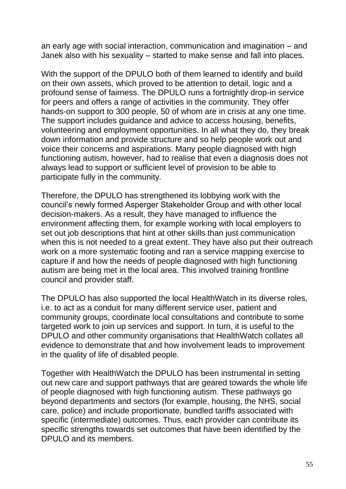an early age with social interaction, communication and imagination – and Janek also with his sexuality – started to make sense and fall into places.

With the support of the DPULO both of them learned to identify and build on their own assets, which proved to be attention to detail, logic and a profound sense of fairness. The DPULO runs a fortnightly drop-in service for peers and offers a range of activities in the community. They offer hands-on support to 300 people, 50 of whom are in crisis at any one time. The support includes guidance and advice to access housing, benefits, volunteering and employment opportunities. In all what they do, they break down information and provide structure and so help people work out and voice their concerns and aspirations. Many people diagnosed with high functioning autism, however, had to realise that even a diagnosis does not always lead to support or sufficient level of provision to be able to participate fully in the community.

Therefore, the DPULO has strengthened its lobbying work with the council's newly formed Asperger Stakeholder Group and with other local decision-makers. As a result, they have managed to influence the environment affecting them, for example working with local employers to set out job descriptions that hint at other skills than just communication when this is not needed to a great extent. They have also put their outreach work on a more systematic footing and ran a service mapping exercise to capture if and how the needs of people diagnosed with high functioning autism are being met in the local area. This involved training frontline council and provider staff.

The DPULO has also supported the local HealthWatch in its diverse roles, i.e. to act as a conduit for many different service user, patient and community groups, coordinate local consultations and contribute to some targeted work to join up services and support. In turn, it is useful to the DPULO and other community organisations that HealthWatch collates all evidence to demonstrate that and how involvement leads to improvement in the quality of life of disabled people.

Together with HealthWatch the DPULO has been instrumental in setting out new care and support pathways that are geared towards the whole life of people diagnosed with high functioning autism. These pathways go beyond departments and sectors (for example, housing, the NHS, social care, police) and include proportionate, bundled tariffs associated with specific (intermediate) outcomes. Thus, each provider can contribute its specific strengths towards set outcomes that have been identified by the DPULO and its members.